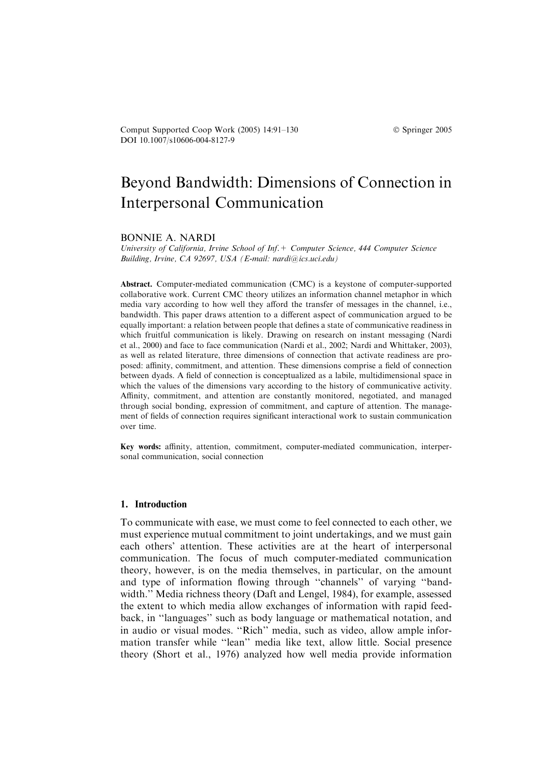Comput Supported Coop Work (2005) 14:91–130 Springer 2005 DOI 10.1007/s10606-004-8127-9

# Beyond Bandwidth: Dimensions of Connection in Interpersonal Communication

#### BONNIE A. NARDI

University of California, Irvine School of Inf.  $+$  Computer Science, 444 Computer Science Building, Irvine, CA 92697, USA (E-mail: nardi@ics.uci.edu)

Abstract. Computer-mediated communication (CMC) is a keystone of computer-supported collaborative work. Current CMC theory utilizes an information channel metaphor in which media vary according to how well they afford the transfer of messages in the channel, i.e., bandwidth. This paper draws attention to a different aspect of communication argued to be equally important: a relation between people that defines a state of communicative readiness in which fruitful communication is likely. Drawing on research on instant messaging (Nardi et al., 2000) and face to face communication (Nardi et al., 2002; Nardi and Whittaker, 2003), as well as related literature, three dimensions of connection that activate readiness are proposed: affinity, commitment, and attention. These dimensions comprise a field of connection between dyads. A field of connection is conceptualized as a labile, multidimensional space in which the values of the dimensions vary according to the history of communicative activity. Affinity, commitment, and attention are constantly monitored, negotiated, and managed through social bonding, expression of commitment, and capture of attention. The management of fields of connection requires significant interactional work to sustain communication over time.

Key words: affinity, attention, commitment, computer-mediated communication, interpersonal communication, social connection

# 1. Introduction

To communicate with ease, we must come to feel connected to each other, we must experience mutual commitment to joint undertakings, and we must gain each others' attention. These activities are at the heart of interpersonal communication. The focus of much computer-mediated communication theory, however, is on the media themselves, in particular, on the amount and type of information flowing through ''channels'' of varying ''bandwidth.'' Media richness theory (Daft and Lengel, 1984), for example, assessed the extent to which media allow exchanges of information with rapid feedback, in ''languages'' such as body language or mathematical notation, and in audio or visual modes. ''Rich'' media, such as video, allow ample information transfer while ''lean'' media like text, allow little. Social presence theory (Short et al., 1976) analyzed how well media provide information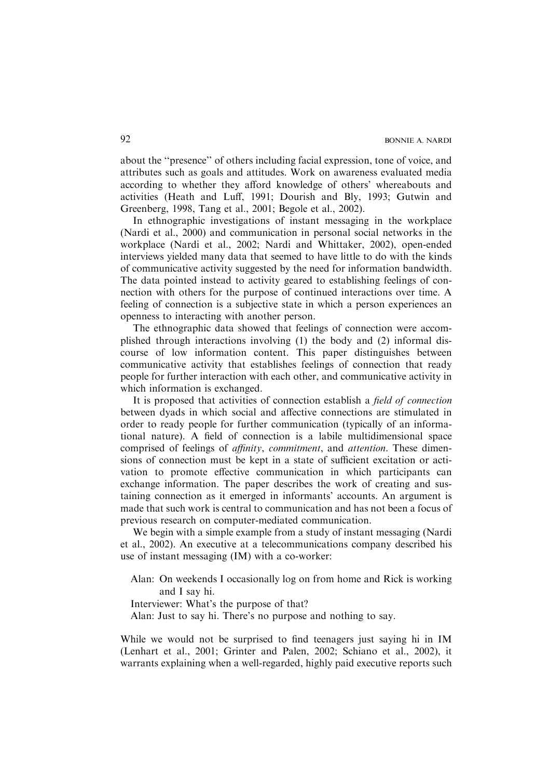about the ''presence'' of others including facial expression, tone of voice, and attributes such as goals and attitudes. Work on awareness evaluated media according to whether they afford knowledge of others' whereabouts and activities (Heath and Luff, 1991; Dourish and Bly, 1993; Gutwin and Greenberg, 1998, Tang et al., 2001; Begole et al., 2002).

In ethnographic investigations of instant messaging in the workplace (Nardi et al., 2000) and communication in personal social networks in the workplace (Nardi et al., 2002; Nardi and Whittaker, 2002), open-ended interviews yielded many data that seemed to have little to do with the kinds of communicative activity suggested by the need for information bandwidth. The data pointed instead to activity geared to establishing feelings of connection with others for the purpose of continued interactions over time. A feeling of connection is a subjective state in which a person experiences an openness to interacting with another person.

The ethnographic data showed that feelings of connection were accomplished through interactions involving (1) the body and (2) informal discourse of low information content. This paper distinguishes between communicative activity that establishes feelings of connection that ready people for further interaction with each other, and communicative activity in which information is exchanged.

It is proposed that activities of connection establish a field of connection between dyads in which social and affective connections are stimulated in order to ready people for further communication (typically of an informational nature). A field of connection is a labile multidimensional space comprised of feelings of affinity, commitment, and attention. These dimensions of connection must be kept in a state of sufficient excitation or activation to promote effective communication in which participants can exchange information. The paper describes the work of creating and sustaining connection as it emerged in informants' accounts. An argument is made that such work is central to communication and has not been a focus of previous research on computer-mediated communication.

We begin with a simple example from a study of instant messaging (Nardi et al., 2002). An executive at a telecommunications company described his use of instant messaging (IM) with a co-worker:

- Alan: On weekends I occasionally log on from home and Rick is working and I say hi.
- Interviewer: What's the purpose of that?
- Alan: Just to say hi. There's no purpose and nothing to say.

While we would not be surprised to find teenagers just saying hi in IM (Lenhart et al., 2001; Grinter and Palen, 2002; Schiano et al., 2002), it warrants explaining when a well-regarded, highly paid executive reports such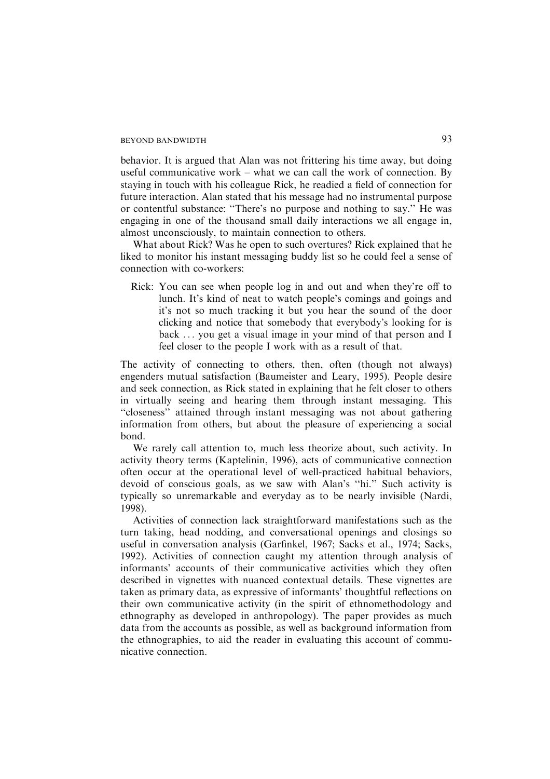behavior. It is argued that Alan was not frittering his time away, but doing useful communicative work – what we can call the work of connection. By staying in touch with his colleague Rick, he readied a field of connection for future interaction. Alan stated that his message had no instrumental purpose or contentful substance: ''There's no purpose and nothing to say.'' He was engaging in one of the thousand small daily interactions we all engage in, almost unconsciously, to maintain connection to others.

What about Rick? Was he open to such overtures? Rick explained that he liked to monitor his instant messaging buddy list so he could feel a sense of connection with co-workers:

Rick: You can see when people log in and out and when they're off to lunch. It's kind of neat to watch people's comings and goings and it's not so much tracking it but you hear the sound of the door clicking and notice that somebody that everybody's looking for is back ... you get a visual image in your mind of that person and I feel closer to the people I work with as a result of that.

The activity of connecting to others, then, often (though not always) engenders mutual satisfaction (Baumeister and Leary, 1995). People desire and seek connection, as Rick stated in explaining that he felt closer to others in virtually seeing and hearing them through instant messaging. This ''closeness'' attained through instant messaging was not about gathering information from others, but about the pleasure of experiencing a social bond.

We rarely call attention to, much less theorize about, such activity. In activity theory terms (Kaptelinin, 1996), acts of communicative connection often occur at the operational level of well-practiced habitual behaviors, devoid of conscious goals, as we saw with Alan's ''hi.'' Such activity is typically so unremarkable and everyday as to be nearly invisible (Nardi, 1998).

Activities of connection lack straightforward manifestations such as the turn taking, head nodding, and conversational openings and closings so useful in conversation analysis (Garfinkel, 1967; Sacks et al., 1974; Sacks, 1992). Activities of connection caught my attention through analysis of informants' accounts of their communicative activities which they often described in vignettes with nuanced contextual details. These vignettes are taken as primary data, as expressive of informants' thoughtful reflections on their own communicative activity (in the spirit of ethnomethodology and ethnography as developed in anthropology). The paper provides as much data from the accounts as possible, as well as background information from the ethnographies, to aid the reader in evaluating this account of communicative connection.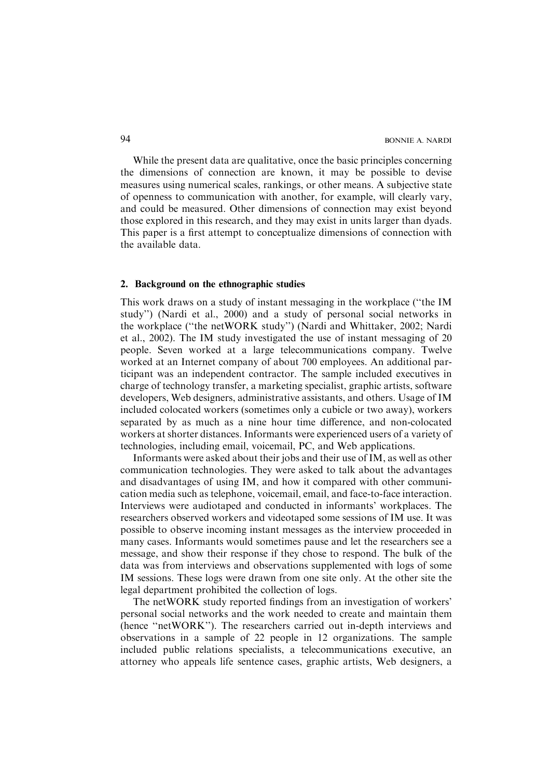While the present data are qualitative, once the basic principles concerning the dimensions of connection are known, it may be possible to devise measures using numerical scales, rankings, or other means. A subjective state of openness to communication with another, for example, will clearly vary, and could be measured. Other dimensions of connection may exist beyond those explored in this research, and they may exist in units larger than dyads. This paper is a first attempt to conceptualize dimensions of connection with the available data.

#### 2. Background on the ethnographic studies

This work draws on a study of instant messaging in the workplace (''the IM study'') (Nardi et al., 2000) and a study of personal social networks in the workplace (''the netWORK study'') (Nardi and Whittaker, 2002; Nardi et al., 2002). The IM study investigated the use of instant messaging of 20 people. Seven worked at a large telecommunications company. Twelve worked at an Internet company of about 700 employees. An additional participant was an independent contractor. The sample included executives in charge of technology transfer, a marketing specialist, graphic artists, software developers, Web designers, administrative assistants, and others. Usage of IM included colocated workers (sometimes only a cubicle or two away), workers separated by as much as a nine hour time difference, and non-colocated workers at shorter distances. Informants were experienced users of a variety of technologies, including email, voicemail, PC, and Web applications.

Informants were asked about their jobs and their use of IM, as well as other communication technologies. They were asked to talk about the advantages and disadvantages of using IM, and how it compared with other communication media such as telephone, voicemail, email, and face-to-face interaction. Interviews were audiotaped and conducted in informants' workplaces. The researchers observed workers and videotaped some sessions of IM use. It was possible to observe incoming instant messages as the interview proceeded in many cases. Informants would sometimes pause and let the researchers see a message, and show their response if they chose to respond. The bulk of the data was from interviews and observations supplemented with logs of some IM sessions. These logs were drawn from one site only. At the other site the legal department prohibited the collection of logs.

The netWORK study reported findings from an investigation of workers' personal social networks and the work needed to create and maintain them (hence ''netWORK''). The researchers carried out in-depth interviews and observations in a sample of 22 people in 12 organizations. The sample included public relations specialists, a telecommunications executive, an attorney who appeals life sentence cases, graphic artists, Web designers, a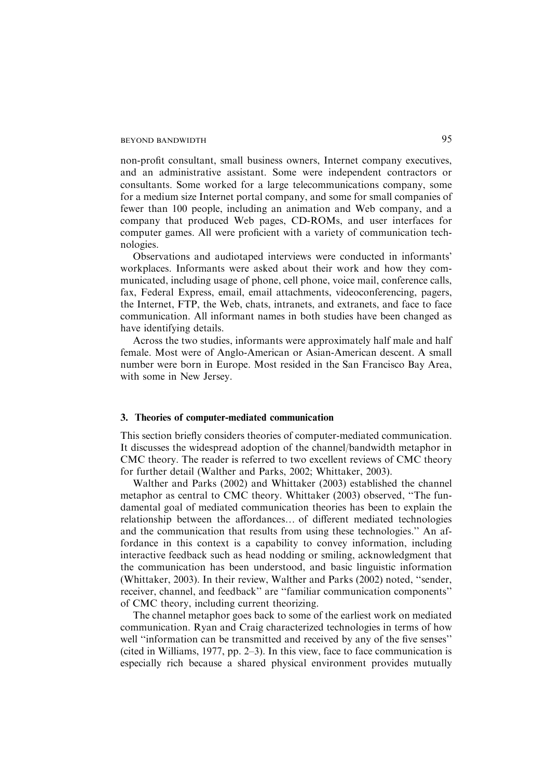non-profit consultant, small business owners, Internet company executives, and an administrative assistant. Some were independent contractors or consultants. Some worked for a large telecommunications company, some for a medium size Internet portal company, and some for small companies of fewer than 100 people, including an animation and Web company, and a company that produced Web pages, CD-ROMs, and user interfaces for computer games. All were proficient with a variety of communication technologies.

Observations and audiotaped interviews were conducted in informants' workplaces. Informants were asked about their work and how they communicated, including usage of phone, cell phone, voice mail, conference calls, fax, Federal Express, email, email attachments, videoconferencing, pagers, the Internet, FTP, the Web, chats, intranets, and extranets, and face to face communication. All informant names in both studies have been changed as have identifying details.

Across the two studies, informants were approximately half male and half female. Most were of Anglo-American or Asian-American descent. A small number were born in Europe. Most resided in the San Francisco Bay Area, with some in New Jersey.

#### 3. Theories of computer-mediated communication

This section briefly considers theories of computer-mediated communication. It discusses the widespread adoption of the channel/bandwidth metaphor in CMC theory. The reader is referred to two excellent reviews of CMC theory for further detail (Walther and Parks, 2002; Whittaker, 2003).

Walther and Parks (2002) and Whittaker (2003) established the channel metaphor as central to CMC theory. Whittaker (2003) observed, ''The fundamental goal of mediated communication theories has been to explain the relationship between the affordances… of different mediated technologies and the communication that results from using these technologies.'' An affordance in this context is a capability to convey information, including interactive feedback such as head nodding or smiling, acknowledgment that the communication has been understood, and basic linguistic information (Whittaker, 2003). In their review, Walther and Parks (2002) noted, ''sender, receiver, channel, and feedback'' are ''familiar communication components'' of CMC theory, including current theorizing.

The channel metaphor goes back to some of the earliest work on mediated communication. Ryan and Craig characterized technologies in terms of how well ''information can be transmitted and received by any of the five senses'' (cited in Williams, 1977, pp. 2–3). In this view, face to face communication is especially rich because a shared physical environment provides mutually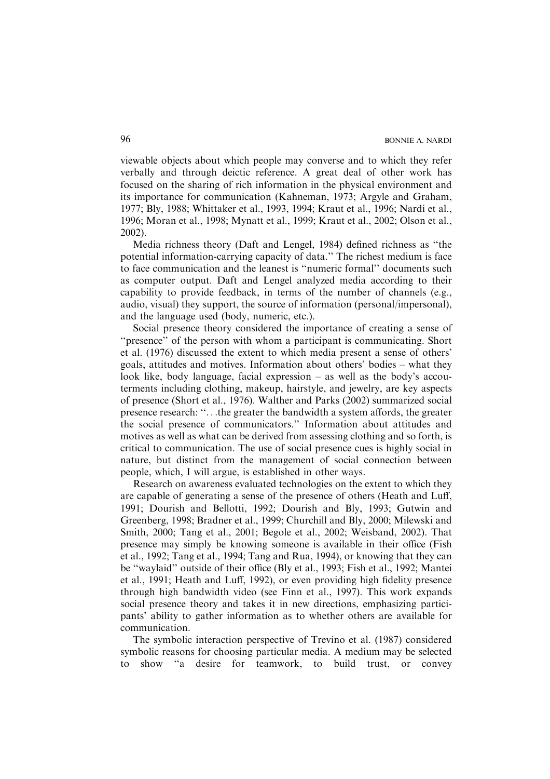viewable objects about which people may converse and to which they refer verbally and through deictic reference. A great deal of other work has focused on the sharing of rich information in the physical environment and its importance for communication (Kahneman, 1973; Argyle and Graham, 1977; Bly, 1988; Whittaker et al., 1993, 1994; Kraut et al., 1996; Nardi et al., 1996; Moran et al., 1998; Mynatt et al., 1999; Kraut et al., 2002; Olson et al., 2002).

Media richness theory (Daft and Lengel, 1984) defined richness as ''the potential information-carrying capacity of data.'' The richest medium is face to face communication and the leanest is ''numeric formal'' documents such as computer output. Daft and Lengel analyzed media according to their capability to provide feedback, in terms of the number of channels (e.g., audio, visual) they support, the source of information (personal/impersonal), and the language used (body, numeric, etc.).

Social presence theory considered the importance of creating a sense of ''presence'' of the person with whom a participant is communicating. Short et al. (1976) discussed the extent to which media present a sense of others' goals, attitudes and motives. Information about others' bodies – what they look like, body language, facial expression – as well as the body's accouterments including clothing, makeup, hairstyle, and jewelry, are key aspects of presence (Short et al., 1976). Walther and Parks (2002) summarized social presence research: ''...the greater the bandwidth a system affords, the greater the social presence of communicators.'' Information about attitudes and motives as well as what can be derived from assessing clothing and so forth, is critical to communication. The use of social presence cues is highly social in nature, but distinct from the management of social connection between people, which, I will argue, is established in other ways.

Research on awareness evaluated technologies on the extent to which they are capable of generating a sense of the presence of others (Heath and Luff, 1991; Dourish and Bellotti, 1992; Dourish and Bly, 1993; Gutwin and Greenberg, 1998; Bradner et al., 1999; Churchill and Bly, 2000; Milewski and Smith, 2000; Tang et al., 2001; Begole et al., 2002; Weisband, 2002). That presence may simply be knowing someone is available in their office (Fish et al., 1992; Tang et al., 1994; Tang and Rua, 1994), or knowing that they can be ''waylaid'' outside of their office (Bly et al., 1993; Fish et al., 1992; Mantei et al., 1991; Heath and Luff, 1992), or even providing high fidelity presence through high bandwidth video (see Finn et al., 1997). This work expands social presence theory and takes it in new directions, emphasizing participants' ability to gather information as to whether others are available for communication.

The symbolic interaction perspective of Trevino et al. (1987) considered symbolic reasons for choosing particular media. A medium may be selected to show ''a desire for teamwork, to build trust, or convey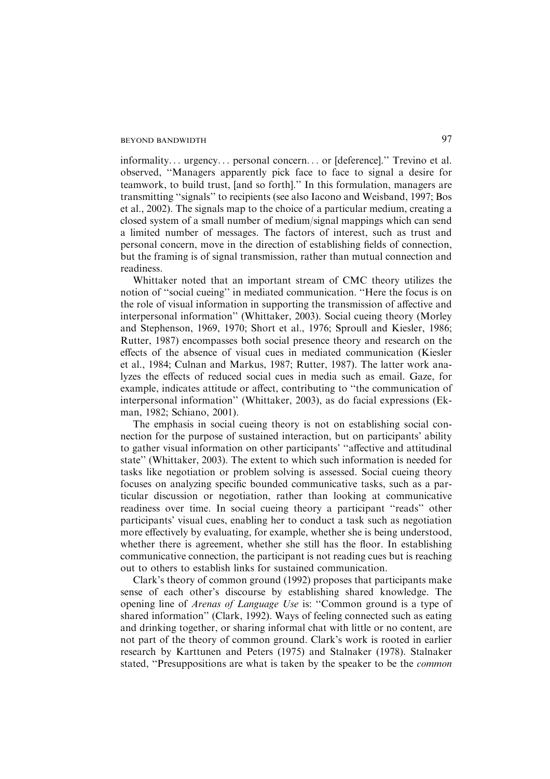informality... urgency... personal concern... or [deference].'' Trevino et al. observed, ''Managers apparently pick face to face to signal a desire for teamwork, to build trust, [and so forth].'' In this formulation, managers are transmitting ''signals'' to recipients (see also Iacono and Weisband, 1997; Bos et al., 2002). The signals map to the choice of a particular medium, creating a closed system of a small number of medium/signal mappings which can send a limited number of messages. The factors of interest, such as trust and personal concern, move in the direction of establishing fields of connection, but the framing is of signal transmission, rather than mutual connection and readiness.

Whittaker noted that an important stream of CMC theory utilizes the notion of ''social cueing'' in mediated communication. ''Here the focus is on the role of visual information in supporting the transmission of affective and interpersonal information'' (Whittaker, 2003). Social cueing theory (Morley and Stephenson, 1969, 1970; Short et al., 1976; Sproull and Kiesler, 1986; Rutter, 1987) encompasses both social presence theory and research on the effects of the absence of visual cues in mediated communication (Kiesler et al., 1984; Culnan and Markus, 1987; Rutter, 1987). The latter work analyzes the effects of reduced social cues in media such as email. Gaze, for example, indicates attitude or affect, contributing to ''the communication of interpersonal information'' (Whittaker, 2003), as do facial expressions (Ekman, 1982; Schiano, 2001).

The emphasis in social cueing theory is not on establishing social connection for the purpose of sustained interaction, but on participants' ability to gather visual information on other participants' ''affective and attitudinal state'' (Whittaker, 2003). The extent to which such information is needed for tasks like negotiation or problem solving is assessed. Social cueing theory focuses on analyzing specific bounded communicative tasks, such as a particular discussion or negotiation, rather than looking at communicative readiness over time. In social cueing theory a participant ''reads'' other participants' visual cues, enabling her to conduct a task such as negotiation more effectively by evaluating, for example, whether she is being understood, whether there is agreement, whether she still has the floor. In establishing communicative connection, the participant is not reading cues but is reaching out to others to establish links for sustained communication.

Clark's theory of common ground (1992) proposes that participants make sense of each other's discourse by establishing shared knowledge. The opening line of Arenas of Language Use is: ''Common ground is a type of shared information'' (Clark, 1992). Ways of feeling connected such as eating and drinking together, or sharing informal chat with little or no content, are not part of the theory of common ground. Clark's work is rooted in earlier research by Karttunen and Peters (1975) and Stalnaker (1978). Stalnaker stated, ''Presuppositions are what is taken by the speaker to be the common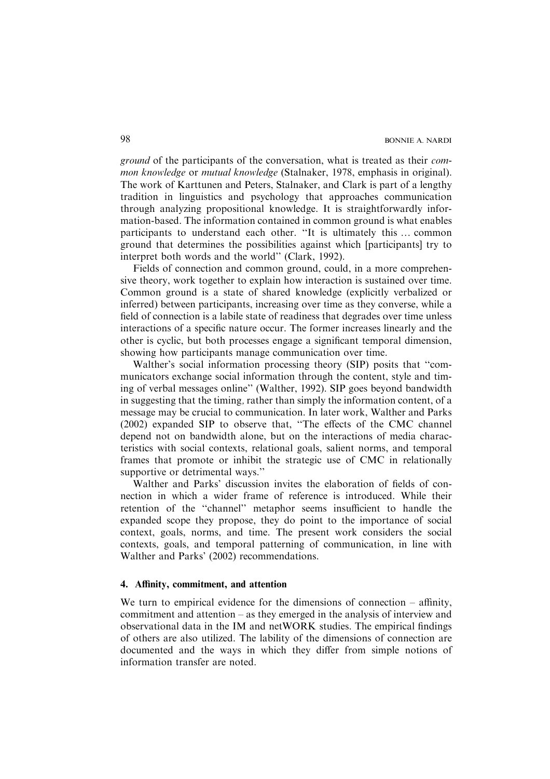ground of the participants of the conversation, what is treated as their common knowledge or mutual knowledge (Stalnaker, 1978, emphasis in original). The work of Karttunen and Peters, Stalnaker, and Clark is part of a lengthy tradition in linguistics and psychology that approaches communication through analyzing propositional knowledge. It is straightforwardly information-based. The information contained in common ground is what enables participants to understand each other. ''It is ultimately this … common ground that determines the possibilities against which [participants] try to interpret both words and the world'' (Clark, 1992).

Fields of connection and common ground, could, in a more comprehensive theory, work together to explain how interaction is sustained over time. Common ground is a state of shared knowledge (explicitly verbalized or inferred) between participants, increasing over time as they converse, while a field of connection is a labile state of readiness that degrades over time unless interactions of a specific nature occur. The former increases linearly and the other is cyclic, but both processes engage a significant temporal dimension, showing how participants manage communication over time.

Walther's social information processing theory (SIP) posits that ''communicators exchange social information through the content, style and timing of verbal messages online'' (Walther, 1992). SIP goes beyond bandwidth in suggesting that the timing, rather than simply the information content, of a message may be crucial to communication. In later work, Walther and Parks (2002) expanded SIP to observe that, ''The effects of the CMC channel depend not on bandwidth alone, but on the interactions of media characteristics with social contexts, relational goals, salient norms, and temporal frames that promote or inhibit the strategic use of CMC in relationally supportive or detrimental ways.''

Walther and Parks' discussion invites the elaboration of fields of connection in which a wider frame of reference is introduced. While their retention of the ''channel'' metaphor seems insufficient to handle the expanded scope they propose, they do point to the importance of social context, goals, norms, and time. The present work considers the social contexts, goals, and temporal patterning of communication, in line with Walther and Parks' (2002) recommendations.

#### 4. Affinity, commitment, and attention

We turn to empirical evidence for the dimensions of connection – affinity, commitment and attention – as they emerged in the analysis of interview and observational data in the IM and netWORK studies. The empirical findings of others are also utilized. The lability of the dimensions of connection are documented and the ways in which they differ from simple notions of information transfer are noted.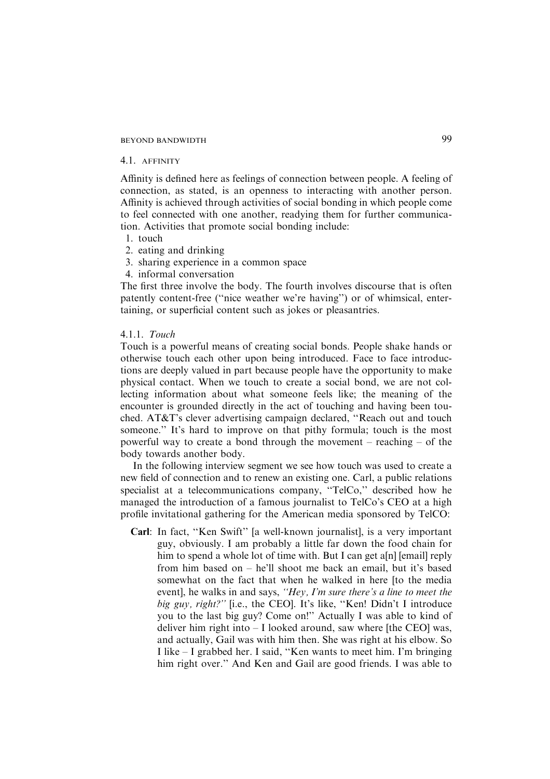#### 4.1. AFFINITY

Affinity is defined here as feelings of connection between people. A feeling of connection, as stated, is an openness to interacting with another person. Affinity is achieved through activities of social bonding in which people come to feel connected with one another, readying them for further communication. Activities that promote social bonding include:

- 1. touch
- 2. eating and drinking
- 3. sharing experience in a common space
- 4. informal conversation

The first three involve the body. The fourth involves discourse that is often patently content-free (''nice weather we're having'') or of whimsical, entertaining, or superficial content such as jokes or pleasantries.

#### 4.1.1. Touch

Touch is a powerful means of creating social bonds. People shake hands or otherwise touch each other upon being introduced. Face to face introductions are deeply valued in part because people have the opportunity to make physical contact. When we touch to create a social bond, we are not collecting information about what someone feels like; the meaning of the encounter is grounded directly in the act of touching and having been touched. AT&T's clever advertising campaign declared, ''Reach out and touch someone.'' It's hard to improve on that pithy formula; touch is the most powerful way to create a bond through the movement – reaching – of the body towards another body.

In the following interview segment we see how touch was used to create a new field of connection and to renew an existing one. Carl, a public relations specialist at a telecommunications company, ''TelCo,'' described how he managed the introduction of a famous journalist to TelCo's CEO at a high profile invitational gathering for the American media sponsored by TelCO:

Carl: In fact, ''Ken Swift'' [a well-known journalist], is a very important guy, obviously. I am probably a little far down the food chain for him to spend a whole lot of time with. But I can get a[n] [email] reply from him based on – he'll shoot me back an email, but it's based somewhat on the fact that when he walked in here [to the media event], he walks in and says, "Hey, I'm sure there's a line to meet the big guy, right?" [i.e., the CEO]. It's like, "Ken! Didn't I introduce you to the last big guy? Come on!'' Actually I was able to kind of deliver him right into  $-1$  looked around, saw where [the CEO] was, and actually, Gail was with him then. She was right at his elbow. So I like – I grabbed her. I said, ''Ken wants to meet him. I'm bringing him right over." And Ken and Gail are good friends. I was able to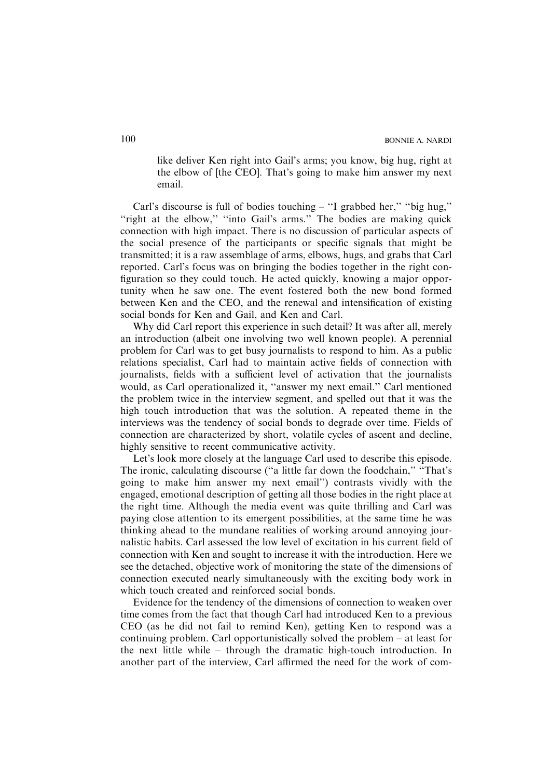like deliver Ken right into Gail's arms; you know, big hug, right at the elbow of [the CEO]. That's going to make him answer my next email.

Carl's discourse is full of bodies touching – ''I grabbed her,'' ''big hug,'' "right at the elbow," "into Gail's arms." The bodies are making quick connection with high impact. There is no discussion of particular aspects of the social presence of the participants or specific signals that might be transmitted; it is a raw assemblage of arms, elbows, hugs, and grabs that Carl reported. Carl's focus was on bringing the bodies together in the right configuration so they could touch. He acted quickly, knowing a major opportunity when he saw one. The event fostered both the new bond formed between Ken and the CEO, and the renewal and intensification of existing social bonds for Ken and Gail, and Ken and Carl.

Why did Carl report this experience in such detail? It was after all, merely an introduction (albeit one involving two well known people). A perennial problem for Carl was to get busy journalists to respond to him. As a public relations specialist, Carl had to maintain active fields of connection with journalists, fields with a sufficient level of activation that the journalists would, as Carl operationalized it, ''answer my next email.'' Carl mentioned the problem twice in the interview segment, and spelled out that it was the high touch introduction that was the solution. A repeated theme in the interviews was the tendency of social bonds to degrade over time. Fields of connection are characterized by short, volatile cycles of ascent and decline, highly sensitive to recent communicative activity.

Let's look more closely at the language Carl used to describe this episode. The ironic, calculating discourse (''a little far down the foodchain,'' ''That's going to make him answer my next email'') contrasts vividly with the engaged, emotional description of getting all those bodies in the right place at the right time. Although the media event was quite thrilling and Carl was paying close attention to its emergent possibilities, at the same time he was thinking ahead to the mundane realities of working around annoying journalistic habits. Carl assessed the low level of excitation in his current field of connection with Ken and sought to increase it with the introduction. Here we see the detached, objective work of monitoring the state of the dimensions of connection executed nearly simultaneously with the exciting body work in which touch created and reinforced social bonds.

Evidence for the tendency of the dimensions of connection to weaken over time comes from the fact that though Carl had introduced Ken to a previous CEO (as he did not fail to remind Ken), getting Ken to respond was a continuing problem. Carl opportunistically solved the problem – at least for the next little while – through the dramatic high-touch introduction. In another part of the interview, Carl affirmed the need for the work of com-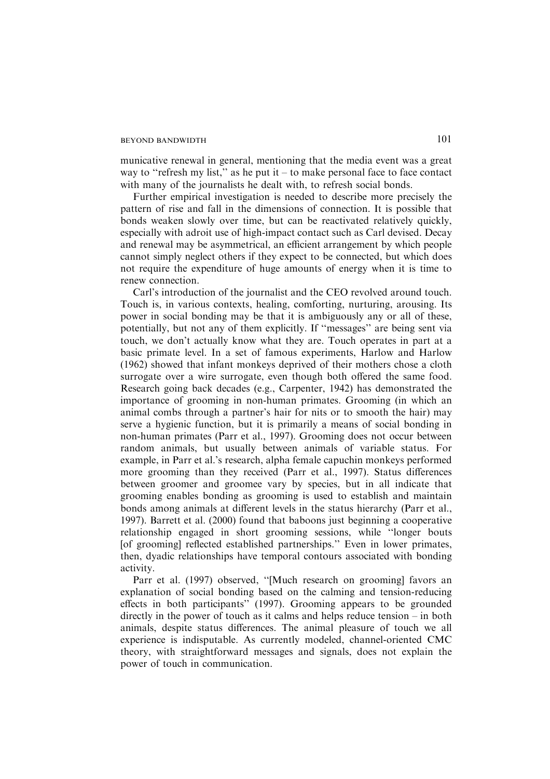municative renewal in general, mentioning that the media event was a great way to "refresh my list," as he put it – to make personal face to face contact with many of the journalists he dealt with, to refresh social bonds.

Further empirical investigation is needed to describe more precisely the pattern of rise and fall in the dimensions of connection. It is possible that bonds weaken slowly over time, but can be reactivated relatively quickly, especially with adroit use of high-impact contact such as Carl devised. Decay and renewal may be asymmetrical, an efficient arrangement by which people cannot simply neglect others if they expect to be connected, but which does not require the expenditure of huge amounts of energy when it is time to renew connection.

Carl's introduction of the journalist and the CEO revolved around touch. Touch is, in various contexts, healing, comforting, nurturing, arousing. Its power in social bonding may be that it is ambiguously any or all of these, potentially, but not any of them explicitly. If ''messages'' are being sent via touch, we don't actually know what they are. Touch operates in part at a basic primate level. In a set of famous experiments, Harlow and Harlow (1962) showed that infant monkeys deprived of their mothers chose a cloth surrogate over a wire surrogate, even though both offered the same food. Research going back decades (e.g., Carpenter, 1942) has demonstrated the importance of grooming in non-human primates. Grooming (in which an animal combs through a partner's hair for nits or to smooth the hair) may serve a hygienic function, but it is primarily a means of social bonding in non-human primates (Parr et al., 1997). Grooming does not occur between random animals, but usually between animals of variable status. For example, in Parr et al.'s research, alpha female capuchin monkeys performed more grooming than they received (Parr et al., 1997). Status differences between groomer and groomee vary by species, but in all indicate that grooming enables bonding as grooming is used to establish and maintain bonds among animals at different levels in the status hierarchy (Parr et al., 1997). Barrett et al. (2000) found that baboons just beginning a cooperative relationship engaged in short grooming sessions, while ''longer bouts [of grooming] reflected established partnerships." Even in lower primates, then, dyadic relationships have temporal contours associated with bonding activity.

Parr et al. (1997) observed, ''[Much research on grooming] favors an explanation of social bonding based on the calming and tension-reducing effects in both participants'' (1997). Grooming appears to be grounded directly in the power of touch as it calms and helps reduce tension – in both animals, despite status differences. The animal pleasure of touch we all experience is indisputable. As currently modeled, channel-oriented CMC theory, with straightforward messages and signals, does not explain the power of touch in communication.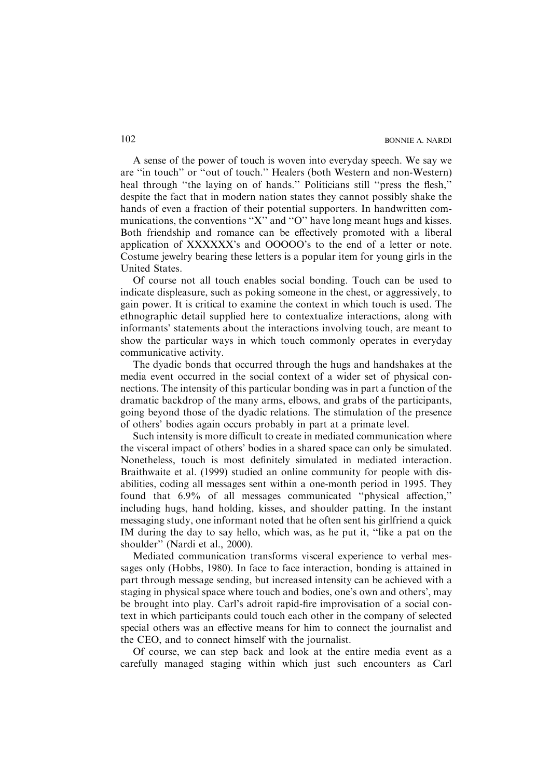A sense of the power of touch is woven into everyday speech. We say we are ''in touch'' or ''out of touch.'' Healers (both Western and non-Western) heal through "the laying on of hands." Politicians still "press the flesh," despite the fact that in modern nation states they cannot possibly shake the hands of even a fraction of their potential supporters. In handwritten communications, the conventions ''X'' and ''O'' have long meant hugs and kisses. Both friendship and romance can be effectively promoted with a liberal application of XXXXXX's and OOOOO's to the end of a letter or note. Costume jewelry bearing these letters is a popular item for young girls in the United States.

Of course not all touch enables social bonding. Touch can be used to indicate displeasure, such as poking someone in the chest, or aggressively, to gain power. It is critical to examine the context in which touch is used. The ethnographic detail supplied here to contextualize interactions, along with informants' statements about the interactions involving touch, are meant to show the particular ways in which touch commonly operates in everyday communicative activity.

The dyadic bonds that occurred through the hugs and handshakes at the media event occurred in the social context of a wider set of physical connections. The intensity of this particular bonding was in part a function of the dramatic backdrop of the many arms, elbows, and grabs of the participants, going beyond those of the dyadic relations. The stimulation of the presence of others' bodies again occurs probably in part at a primate level.

Such intensity is more difficult to create in mediated communication where the visceral impact of others' bodies in a shared space can only be simulated. Nonetheless, touch is most definitely simulated in mediated interaction. Braithwaite et al. (1999) studied an online community for people with disabilities, coding all messages sent within a one-month period in 1995. They found that 6.9% of all messages communicated ''physical affection,'' including hugs, hand holding, kisses, and shoulder patting. In the instant messaging study, one informant noted that he often sent his girlfriend a quick IM during the day to say hello, which was, as he put it, ''like a pat on the shoulder'' (Nardi et al., 2000).

Mediated communication transforms visceral experience to verbal messages only (Hobbs, 1980). In face to face interaction, bonding is attained in part through message sending, but increased intensity can be achieved with a staging in physical space where touch and bodies, one's own and others', may be brought into play. Carl's adroit rapid-fire improvisation of a social context in which participants could touch each other in the company of selected special others was an effective means for him to connect the journalist and the CEO, and to connect himself with the journalist.

Of course, we can step back and look at the entire media event as a carefully managed staging within which just such encounters as Carl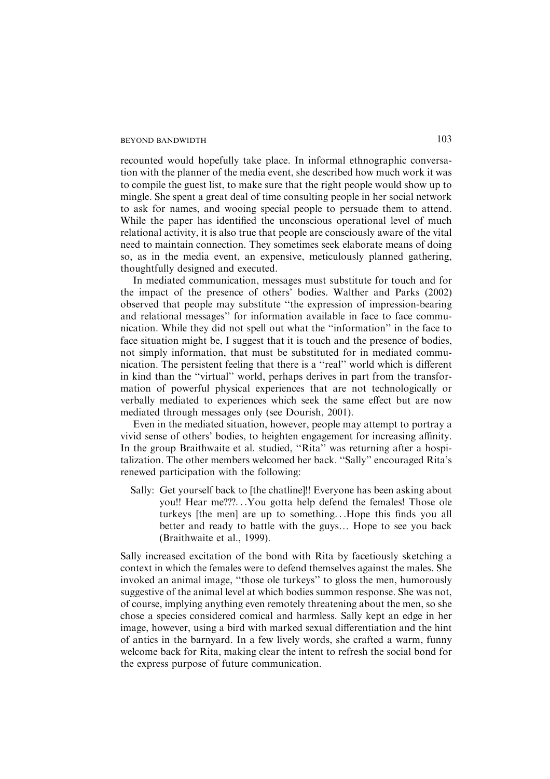recounted would hopefully take place. In informal ethnographic conversation with the planner of the media event, she described how much work it was to compile the guest list, to make sure that the right people would show up to mingle. She spent a great deal of time consulting people in her social network to ask for names, and wooing special people to persuade them to attend. While the paper has identified the unconscious operational level of much relational activity, it is also true that people are consciously aware of the vital need to maintain connection. They sometimes seek elaborate means of doing so, as in the media event, an expensive, meticulously planned gathering, thoughtfully designed and executed.

In mediated communication, messages must substitute for touch and for the impact of the presence of others' bodies. Walther and Parks (2002) observed that people may substitute ''the expression of impression-bearing and relational messages'' for information available in face to face communication. While they did not spell out what the ''information'' in the face to face situation might be, I suggest that it is touch and the presence of bodies, not simply information, that must be substituted for in mediated communication. The persistent feeling that there is a ''real'' world which is different in kind than the ''virtual'' world, perhaps derives in part from the transformation of powerful physical experiences that are not technologically or verbally mediated to experiences which seek the same effect but are now mediated through messages only (see Dourish, 2001).

Even in the mediated situation, however, people may attempt to portray a vivid sense of others' bodies, to heighten engagement for increasing affinity. In the group Braithwaite et al. studied, ''Rita'' was returning after a hospitalization. The other members welcomed her back. ''Sally'' encouraged Rita's renewed participation with the following:

Sally: Get yourself back to [the chatline]!! Everyone has been asking about you!! Hear me???...You gotta help defend the females! Those ole turkeys [the men] are up to something...Hope this finds you all better and ready to battle with the guys… Hope to see you back (Braithwaite et al., 1999).

Sally increased excitation of the bond with Rita by facetiously sketching a context in which the females were to defend themselves against the males. She invoked an animal image, ''those ole turkeys'' to gloss the men, humorously suggestive of the animal level at which bodies summon response. She was not, of course, implying anything even remotely threatening about the men, so she chose a species considered comical and harmless. Sally kept an edge in her image, however, using a bird with marked sexual differentiation and the hint of antics in the barnyard. In a few lively words, she crafted a warm, funny welcome back for Rita, making clear the intent to refresh the social bond for the express purpose of future communication.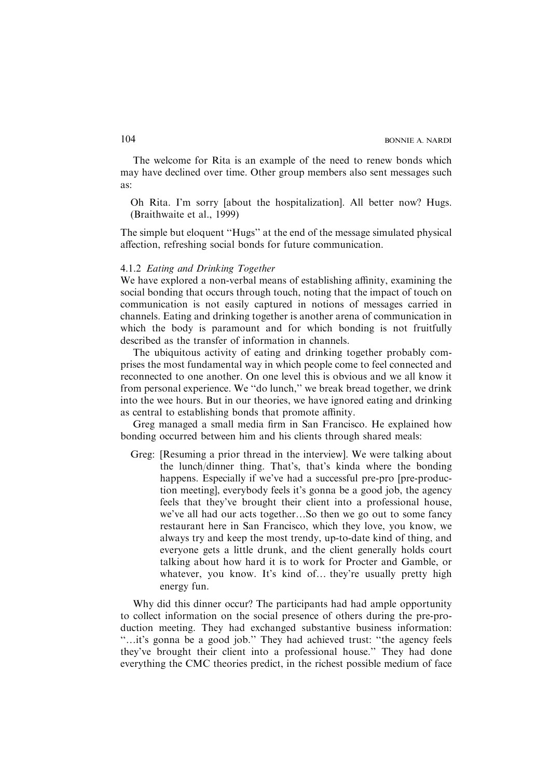The welcome for Rita is an example of the need to renew bonds which may have declined over time. Other group members also sent messages such as:

Oh Rita. I'm sorry [about the hospitalization]. All better now? Hugs. (Braithwaite et al., 1999)

The simple but eloquent ''Hugs'' at the end of the message simulated physical affection, refreshing social bonds for future communication.

#### 4.1.2 Eating and Drinking Together

We have explored a non-verbal means of establishing affinity, examining the social bonding that occurs through touch, noting that the impact of touch on communication is not easily captured in notions of messages carried in channels. Eating and drinking together is another arena of communication in which the body is paramount and for which bonding is not fruitfully described as the transfer of information in channels.

The ubiquitous activity of eating and drinking together probably comprises the most fundamental way in which people come to feel connected and reconnected to one another. On one level this is obvious and we all know it from personal experience. We ''do lunch,'' we break bread together, we drink into the wee hours. But in our theories, we have ignored eating and drinking as central to establishing bonds that promote affinity.

Greg managed a small media firm in San Francisco. He explained how bonding occurred between him and his clients through shared meals:

Greg: [Resuming a prior thread in the interview]. We were talking about the lunch/dinner thing. That's, that's kinda where the bonding happens. Especially if we've had a successful pre-pro [pre-production meeting], everybody feels it's gonna be a good job, the agency feels that they've brought their client into a professional house, we've all had our acts together…So then we go out to some fancy restaurant here in San Francisco, which they love, you know, we always try and keep the most trendy, up-to-date kind of thing, and everyone gets a little drunk, and the client generally holds court talking about how hard it is to work for Procter and Gamble, or whatever, you know. It's kind of... they're usually pretty high energy fun.

Why did this dinner occur? The participants had had ample opportunity to collect information on the social presence of others during the pre-production meeting. They had exchanged substantive business information: ''…it's gonna be a good job.'' They had achieved trust: ''the agency feels they've brought their client into a professional house.'' They had done everything the CMC theories predict, in the richest possible medium of face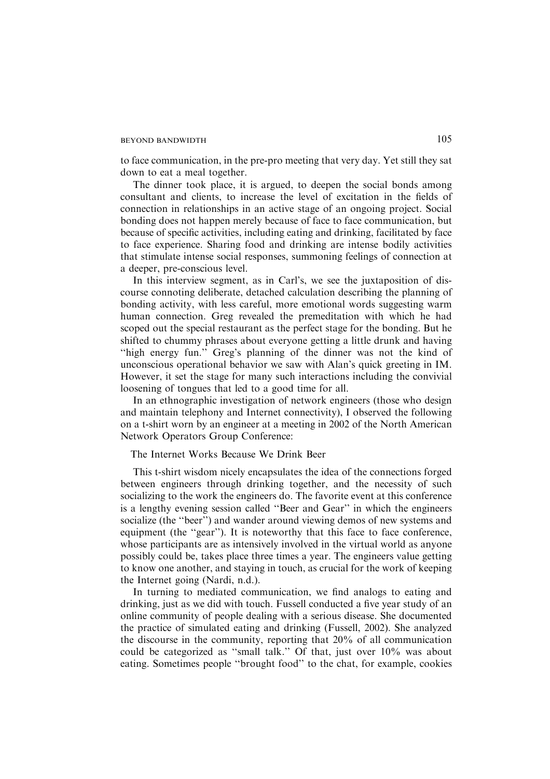to face communication, in the pre-pro meeting that very day. Yet still they sat down to eat a meal together.

The dinner took place, it is argued, to deepen the social bonds among consultant and clients, to increase the level of excitation in the fields of connection in relationships in an active stage of an ongoing project. Social bonding does not happen merely because of face to face communication, but because of specific activities, including eating and drinking, facilitated by face to face experience. Sharing food and drinking are intense bodily activities that stimulate intense social responses, summoning feelings of connection at a deeper, pre-conscious level.

In this interview segment, as in Carl's, we see the juxtaposition of discourse connoting deliberate, detached calculation describing the planning of bonding activity, with less careful, more emotional words suggesting warm human connection. Greg revealed the premeditation with which he had scoped out the special restaurant as the perfect stage for the bonding. But he shifted to chummy phrases about everyone getting a little drunk and having "high energy fun." Greg's planning of the dinner was not the kind of unconscious operational behavior we saw with Alan's quick greeting in IM. However, it set the stage for many such interactions including the convivial loosening of tongues that led to a good time for all.

In an ethnographic investigation of network engineers (those who design and maintain telephony and Internet connectivity), I observed the following on a t-shirt worn by an engineer at a meeting in 2002 of the North American Network Operators Group Conference:

# The Internet Works Because We Drink Beer

This t-shirt wisdom nicely encapsulates the idea of the connections forged between engineers through drinking together, and the necessity of such socializing to the work the engineers do. The favorite event at this conference is a lengthy evening session called ''Beer and Gear'' in which the engineers socialize (the ''beer'') and wander around viewing demos of new systems and equipment (the "gear"). It is noteworthy that this face to face conference, whose participants are as intensively involved in the virtual world as anyone possibly could be, takes place three times a year. The engineers value getting to know one another, and staying in touch, as crucial for the work of keeping the Internet going (Nardi, n.d.).

In turning to mediated communication, we find analogs to eating and drinking, just as we did with touch. Fussell conducted a five year study of an online community of people dealing with a serious disease. She documented the practice of simulated eating and drinking (Fussell, 2002). She analyzed the discourse in the community, reporting that 20% of all communication could be categorized as ''small talk.'' Of that, just over 10% was about eating. Sometimes people ''brought food'' to the chat, for example, cookies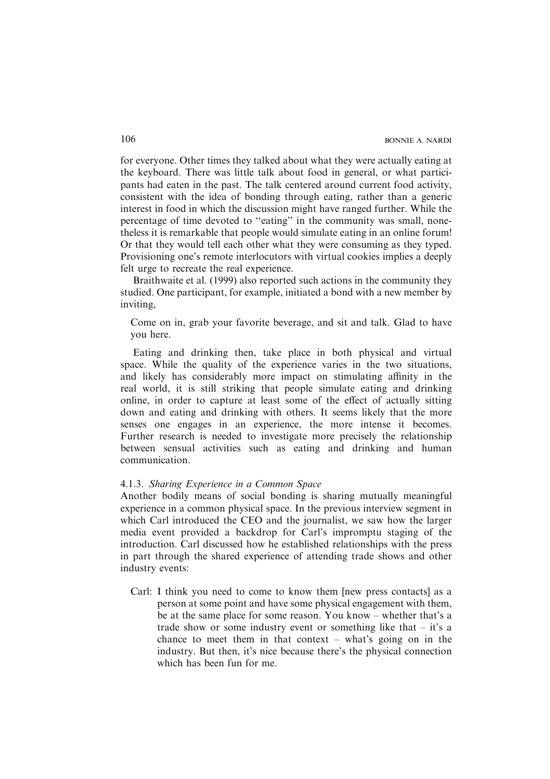for everyone. Other times they talked about what they were actually eating at the keyboard. There was little talk about food in general, or what participants had eaten in the past. The talk centered around current food activity, consistent with the idea of bonding through eating, rather than a generic interest in food in which the discussion might have ranged further. While the percentage of time devoted to ''eating'' in the community was small, nonetheless it is remarkable that people would simulate eating in an online forum! Or that they would tell each other what they were consuming as they typed. Provisioning one's remote interlocutors with virtual cookies implies a deeply felt urge to recreate the real experience.

Braithwaite et al. (1999) also reported such actions in the community they studied. One participant, for example, initiated a bond with a new member by inviting,

Come on in, grab your favorite beverage, and sit and talk. Glad to have you here.

Eating and drinking then, take place in both physical and virtual space. While the quality of the experience varies in the two situations, and likely has considerably more impact on stimulating affinity in the real world, it is still striking that people simulate eating and drinking online, in order to capture at least some of the effect of actually sitting down and eating and drinking with others. It seems likely that the more senses one engages in an experience, the more intense it becomes. Further research is needed to investigate more precisely the relationship between sensual activities such as eating and drinking and human communication.

# 4.1.3. Sharing Experience in a Common Space

Another bodily means of social bonding is sharing mutually meaningful experience in a common physical space. In the previous interview segment in which Carl introduced the CEO and the journalist, we saw how the larger media event provided a backdrop for Carl's impromptu staging of the introduction. Carl discussed how he established relationships with the press in part through the shared experience of attending trade shows and other industry events:

Carl: I think you need to come to know them [new press contacts] as a person at some point and have some physical engagement with them, be at the same place for some reason. You know – whether that's a trade show or some industry event or something like that – it's a chance to meet them in that context – what's going on in the industry. But then, it's nice because there's the physical connection which has been fun for me.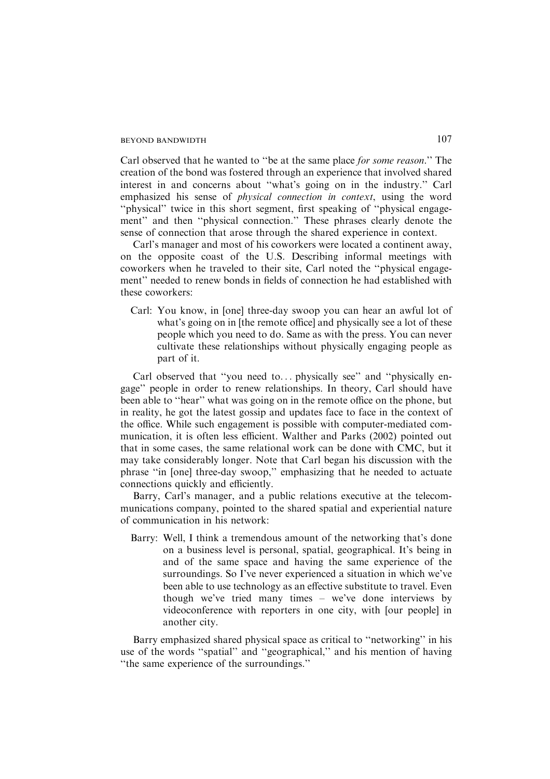Carl observed that he wanted to ''be at the same place for some reason.'' The creation of the bond was fostered through an experience that involved shared interest in and concerns about ''what's going on in the industry.'' Carl emphasized his sense of physical connection in context, using the word ''physical'' twice in this short segment, first speaking of ''physical engagement'' and then ''physical connection.'' These phrases clearly denote the sense of connection that arose through the shared experience in context.

Carl's manager and most of his coworkers were located a continent away, on the opposite coast of the U.S. Describing informal meetings with coworkers when he traveled to their site, Carl noted the ''physical engagement'' needed to renew bonds in fields of connection he had established with these coworkers:

Carl: You know, in [one] three-day swoop you can hear an awful lot of what's going on in [the remote office] and physically see a lot of these people which you need to do. Same as with the press. You can never cultivate these relationships without physically engaging people as part of it.

Carl observed that ''you need to... physically see'' and ''physically engage'' people in order to renew relationships. In theory, Carl should have been able to ''hear'' what was going on in the remote office on the phone, but in reality, he got the latest gossip and updates face to face in the context of the office. While such engagement is possible with computer-mediated communication, it is often less efficient. Walther and Parks (2002) pointed out that in some cases, the same relational work can be done with CMC, but it may take considerably longer. Note that Carl began his discussion with the phrase ''in [one] three-day swoop,'' emphasizing that he needed to actuate connections quickly and efficiently.

Barry, Carl's manager, and a public relations executive at the telecommunications company, pointed to the shared spatial and experiential nature of communication in his network:

Barry: Well, I think a tremendous amount of the networking that's done on a business level is personal, spatial, geographical. It's being in and of the same space and having the same experience of the surroundings. So I've never experienced a situation in which we've been able to use technology as an effective substitute to travel. Even though we've tried many times – we've done interviews by videoconference with reporters in one city, with [our people] in another city.

Barry emphasized shared physical space as critical to ''networking'' in his use of the words ''spatial'' and ''geographical,'' and his mention of having ''the same experience of the surroundings.''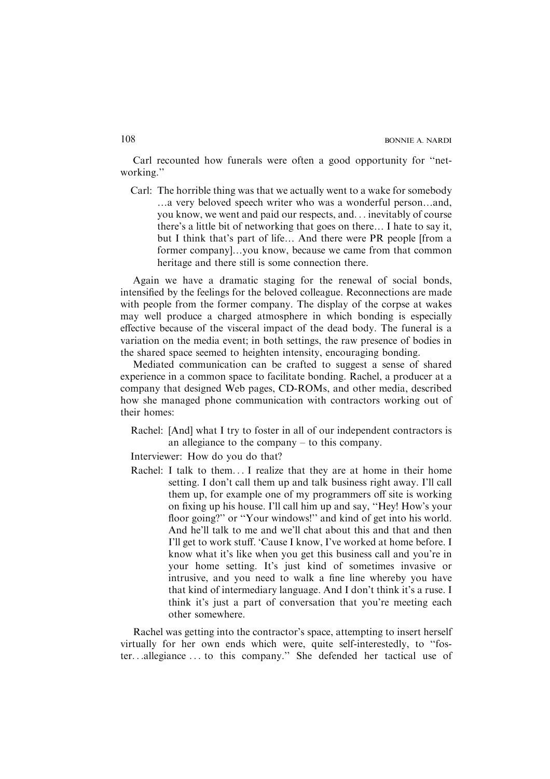Carl recounted how funerals were often a good opportunity for ''networking.''

Carl: The horrible thing was that we actually went to a wake for somebody …a very beloved speech writer who was a wonderful person…and, you know, we went and paid our respects, and... inevitably of course there's a little bit of networking that goes on there… I hate to say it, but I think that's part of life… And there were PR people [from a former company]…you know, because we came from that common heritage and there still is some connection there.

Again we have a dramatic staging for the renewal of social bonds, intensified by the feelings for the beloved colleague. Reconnections are made with people from the former company. The display of the corpse at wakes may well produce a charged atmosphere in which bonding is especially effective because of the visceral impact of the dead body. The funeral is a variation on the media event; in both settings, the raw presence of bodies in the shared space seemed to heighten intensity, encouraging bonding.

Mediated communication can be crafted to suggest a sense of shared experience in a common space to facilitate bonding. Rachel, a producer at a company that designed Web pages, CD-ROMs, and other media, described how she managed phone communication with contractors working out of their homes:

Rachel: [And] what I try to foster in all of our independent contractors is an allegiance to the company – to this company.

Interviewer: How do you do that?

Rachel: I talk to them... I realize that they are at home in their home setting. I don't call them up and talk business right away. I'll call them up, for example one of my programmers off site is working on fixing up his house. I'll call him up and say, ''Hey! How's your floor going?" or "Your windows!" and kind of get into his world. And he'll talk to me and we'll chat about this and that and then I'll get to work stuff. 'Cause I know, I've worked at home before. I know what it's like when you get this business call and you're in your home setting. It's just kind of sometimes invasive or intrusive, and you need to walk a fine line whereby you have that kind of intermediary language. And I don't think it's a ruse. I think it's just a part of conversation that you're meeting each other somewhere.

Rachel was getting into the contractor's space, attempting to insert herself virtually for her own ends which were, quite self-interestedly, to ''foster...allegiance ... to this company.'' She defended her tactical use of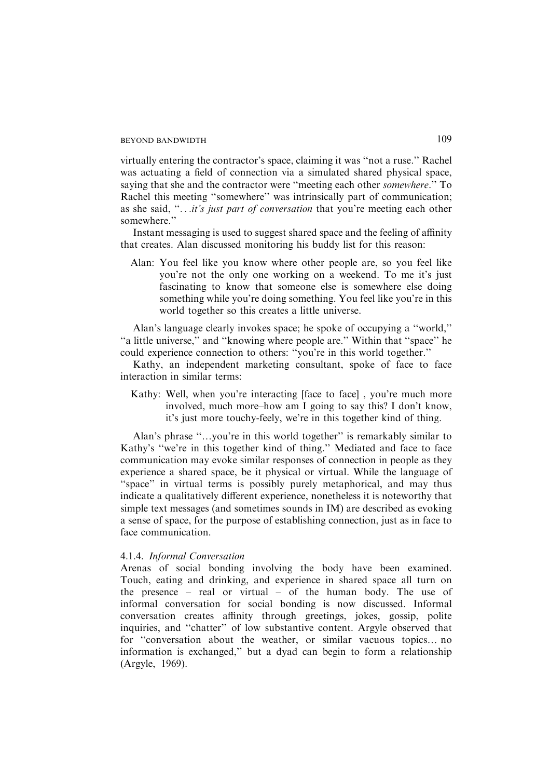virtually entering the contractor's space, claiming it was ''not a ruse.'' Rachel was actuating a field of connection via a simulated shared physical space, saying that she and the contractor were ''meeting each other somewhere.'' To Rachel this meeting ''somewhere'' was intrinsically part of communication; as she said, ''...it's just part of conversation that you're meeting each other somewhere.''

Instant messaging is used to suggest shared space and the feeling of affinity that creates. Alan discussed monitoring his buddy list for this reason:

Alan: You feel like you know where other people are, so you feel like you're not the only one working on a weekend. To me it's just fascinating to know that someone else is somewhere else doing something while you're doing something. You feel like you're in this world together so this creates a little universe.

Alan's language clearly invokes space; he spoke of occupying a ''world,'' ''a little universe,'' and ''knowing where people are.'' Within that ''space'' he could experience connection to others: ''you're in this world together.''

Kathy, an independent marketing consultant, spoke of face to face interaction in similar terms:

Kathy: Well, when you're interacting [face to face], you're much more involved, much more–how am I going to say this? I don't know, it's just more touchy-feely, we're in this together kind of thing.

Alan's phrase ''…you're in this world together'' is remarkably similar to Kathy's ''we're in this together kind of thing.'' Mediated and face to face communication may evoke similar responses of connection in people as they experience a shared space, be it physical or virtual. While the language of "space" in virtual terms is possibly purely metaphorical, and may thus indicate a qualitatively different experience, nonetheless it is noteworthy that simple text messages (and sometimes sounds in IM) are described as evoking a sense of space, for the purpose of establishing connection, just as in face to face communication.

# 4.1.4. Informal Conversation

Arenas of social bonding involving the body have been examined. Touch, eating and drinking, and experience in shared space all turn on the presence – real or virtual – of the human body. The use of informal conversation for social bonding is now discussed. Informal conversation creates affinity through greetings, jokes, gossip, polite inquiries, and ''chatter'' of low substantive content. Argyle observed that for ''conversation about the weather, or similar vacuous topics… no information is exchanged,'' but a dyad can begin to form a relationship (Argyle, 1969).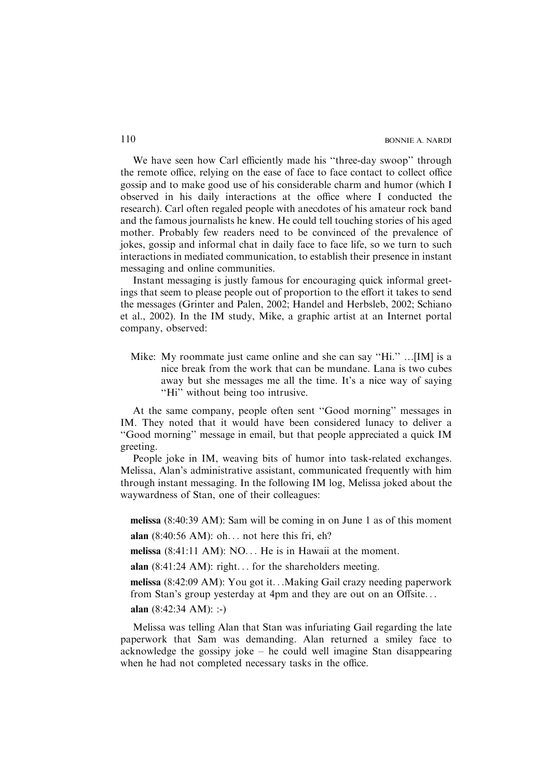We have seen how Carl efficiently made his "three-day swoop" through the remote office, relying on the ease of face to face contact to collect office gossip and to make good use of his considerable charm and humor (which I observed in his daily interactions at the office where I conducted the research). Carl often regaled people with anecdotes of his amateur rock band and the famous journalists he knew. He could tell touching stories of his aged mother. Probably few readers need to be convinced of the prevalence of jokes, gossip and informal chat in daily face to face life, so we turn to such interactions in mediated communication, to establish their presence in instant messaging and online communities.

Instant messaging is justly famous for encouraging quick informal greetings that seem to please people out of proportion to the effort it takes to send the messages (Grinter and Palen, 2002; Handel and Herbsleb, 2002; Schiano et al., 2002). In the IM study, Mike, a graphic artist at an Internet portal company, observed:

Mike: My roommate just came online and she can say ''Hi.'' …[IM] is a nice break from the work that can be mundane. Lana is two cubes away but she messages me all the time. It's a nice way of saying "Hi" without being too intrusive.

At the same company, people often sent ''Good morning'' messages in IM. They noted that it would have been considered lunacy to deliver a ''Good morning'' message in email, but that people appreciated a quick IM greeting.

People joke in IM, weaving bits of humor into task-related exchanges. Melissa, Alan's administrative assistant, communicated frequently with him through instant messaging. In the following IM log, Melissa joked about the waywardness of Stan, one of their colleagues:

melissa (8:40:39 AM): Sam will be coming in on June 1 as of this moment alan  $(8:40:56 \text{ AM})$ : oh... not here this fri, eh?

melissa (8:41:11 AM): NO... He is in Hawaii at the moment.

alan (8:41:24 AM): right... for the shareholders meeting.

melissa (8:42:09 AM): You got it...Making Gail crazy needing paperwork from Stan's group yesterday at 4pm and they are out on an Offsite...

# alan (8:42:34 AM): :-)

Melissa was telling Alan that Stan was infuriating Gail regarding the late paperwork that Sam was demanding. Alan returned a smiley face to acknowledge the gossipy joke – he could well imagine Stan disappearing when he had not completed necessary tasks in the office.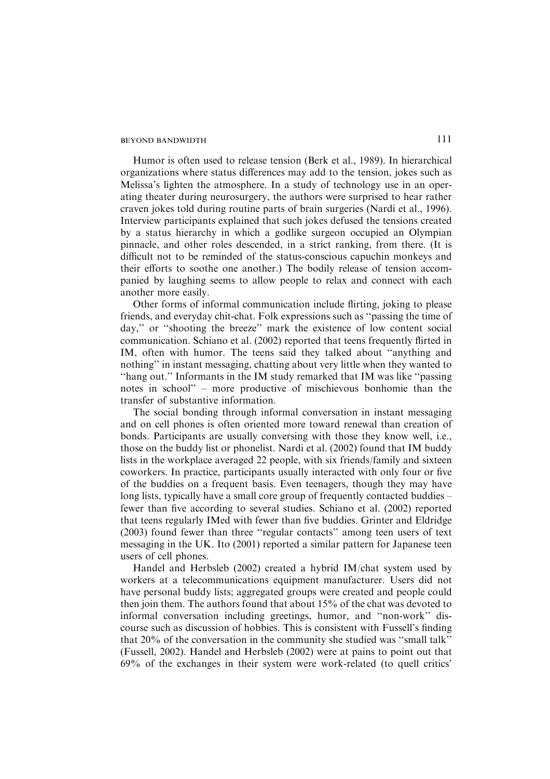Humor is often used to release tension (Berk et al., 1989). In hierarchical organizations where status differences may add to the tension, jokes such as Melissa's lighten the atmosphere. In a study of technology use in an operating theater during neurosurgery, the authors were surprised to hear rather craven jokes told during routine parts of brain surgeries (Nardi et al., 1996). Interview participants explained that such jokes defused the tensions created by a status hierarchy in which a godlike surgeon occupied an Olympian pinnacle, and other roles descended, in a strict ranking, from there. (It is difficult not to be reminded of the status-conscious capuchin monkeys and their efforts to soothe one another.) The bodily release of tension accompanied by laughing seems to allow people to relax and connect with each another more easily.

Other forms of informal communication include flirting, joking to please friends, and everyday chit-chat. Folk expressions such as ''passing the time of day,'' or ''shooting the breeze'' mark the existence of low content social communication. Schiano et al. (2002) reported that teens frequently flirted in IM, often with humor. The teens said they talked about ''anything and nothing'' in instant messaging, chatting about very little when they wanted to ''hang out.'' Informants in the IM study remarked that IM was like ''passing notes in school'' – more productive of mischievous bonhomie than the transfer of substantive information.

The social bonding through informal conversation in instant messaging and on cell phones is often oriented more toward renewal than creation of bonds. Participants are usually conversing with those they know well, i.e., those on the buddy list or phonelist. Nardi et al. (2002) found that IM buddy lists in the workplace averaged 22 people, with six friends/family and sixteen coworkers. In practice, participants usually interacted with only four or five of the buddies on a frequent basis. Even teenagers, though they may have long lists, typically have a small core group of frequently contacted buddies – fewer than five according to several studies. Schiano et al. (2002) reported that teens regularly IMed with fewer than five buddies. Grinter and Eldridge (2003) found fewer than three ''regular contacts'' among teen users of text messaging in the UK. Ito (2001) reported a similar pattern for Japanese teen users of cell phones.

Handel and Herbsleb (2002) created a hybrid IM/chat system used by workers at a telecommunications equipment manufacturer. Users did not have personal buddy lists; aggregated groups were created and people could then join them. The authors found that about 15% of the chat was devoted to informal conversation including greetings, humor, and ''non-work'' discourse such as discussion of hobbies. This is consistent with Fussell's finding that 20% of the conversation in the community she studied was ''small talk'' (Fussell, 2002). Handel and Herbsleb (2002) were at pains to point out that 69% of the exchanges in their system were work-related (to quell critics'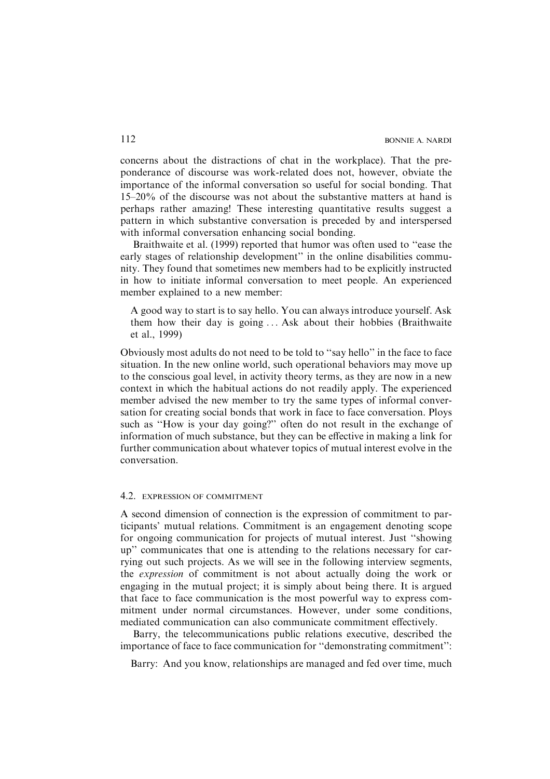concerns about the distractions of chat in the workplace). That the preponderance of discourse was work-related does not, however, obviate the importance of the informal conversation so useful for social bonding. That 15–20% of the discourse was not about the substantive matters at hand is perhaps rather amazing! These interesting quantitative results suggest a pattern in which substantive conversation is preceded by and interspersed with informal conversation enhancing social bonding.

Braithwaite et al. (1999) reported that humor was often used to ''ease the early stages of relationship development'' in the online disabilities community. They found that sometimes new members had to be explicitly instructed in how to initiate informal conversation to meet people. An experienced member explained to a new member:

A good way to start is to say hello. You can always introduce yourself. Ask them how their day is going ... Ask about their hobbies (Braithwaite et al., 1999)

Obviously most adults do not need to be told to ''say hello'' in the face to face situation. In the new online world, such operational behaviors may move up to the conscious goal level, in activity theory terms, as they are now in a new context in which the habitual actions do not readily apply. The experienced member advised the new member to try the same types of informal conversation for creating social bonds that work in face to face conversation. Ploys such as ''How is your day going?'' often do not result in the exchange of information of much substance, but they can be effective in making a link for further communication about whatever topics of mutual interest evolve in the conversation.

#### 4.2. EXPRESSION OF COMMITMENT

A second dimension of connection is the expression of commitment to participants' mutual relations. Commitment is an engagement denoting scope for ongoing communication for projects of mutual interest. Just ''showing up'' communicates that one is attending to the relations necessary for carrying out such projects. As we will see in the following interview segments, the expression of commitment is not about actually doing the work or engaging in the mutual project; it is simply about being there. It is argued that face to face communication is the most powerful way to express commitment under normal circumstances. However, under some conditions, mediated communication can also communicate commitment effectively.

Barry, the telecommunications public relations executive, described the importance of face to face communication for ''demonstrating commitment'':

Barry: And you know, relationships are managed and fed over time, much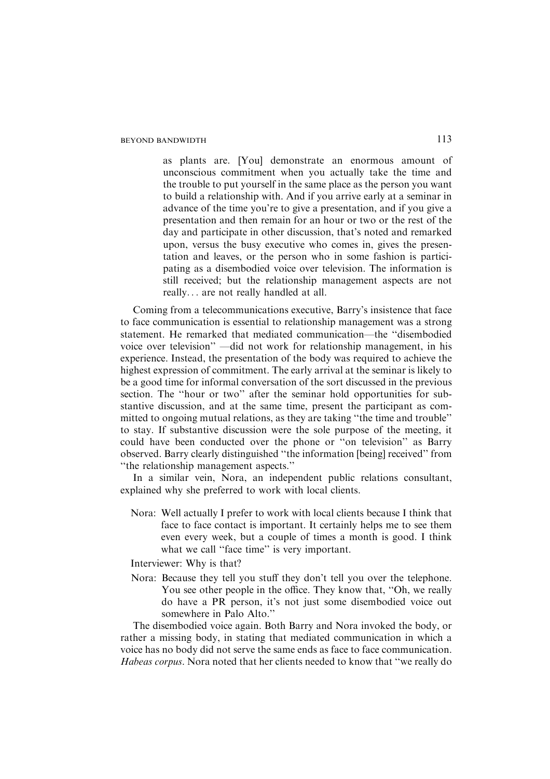as plants are. [You] demonstrate an enormous amount of unconscious commitment when you actually take the time and the trouble to put yourself in the same place as the person you want to build a relationship with. And if you arrive early at a seminar in advance of the time you're to give a presentation, and if you give a presentation and then remain for an hour or two or the rest of the day and participate in other discussion, that's noted and remarked upon, versus the busy executive who comes in, gives the presentation and leaves, or the person who in some fashion is participating as a disembodied voice over television. The information is still received; but the relationship management aspects are not really... are not really handled at all.

Coming from a telecommunications executive, Barry's insistence that face to face communication is essential to relationship management was a strong statement. He remarked that mediated communication—the ''disembodied voice over television'' —did not work for relationship management, in his experience. Instead, the presentation of the body was required to achieve the highest expression of commitment. The early arrival at the seminar is likely to be a good time for informal conversation of the sort discussed in the previous section. The ''hour or two'' after the seminar hold opportunities for substantive discussion, and at the same time, present the participant as committed to ongoing mutual relations, as they are taking ''the time and trouble'' to stay. If substantive discussion were the sole purpose of the meeting, it could have been conducted over the phone or ''on television'' as Barry observed. Barry clearly distinguished ''the information [being] received'' from ''the relationship management aspects.''

In a similar vein, Nora, an independent public relations consultant, explained why she preferred to work with local clients.

Nora: Well actually I prefer to work with local clients because I think that face to face contact is important. It certainly helps me to see them even every week, but a couple of times a month is good. I think what we call "face time" is very important.

Interviewer: Why is that?

Nora: Because they tell you stuff they don't tell you over the telephone. You see other people in the office. They know that, ''Oh, we really do have a PR person, it's not just some disembodied voice out somewhere in Palo Alto.''

The disembodied voice again. Both Barry and Nora invoked the body, or rather a missing body, in stating that mediated communication in which a voice has no body did not serve the same ends as face to face communication. Habeas corpus. Nora noted that her clients needed to know that "we really do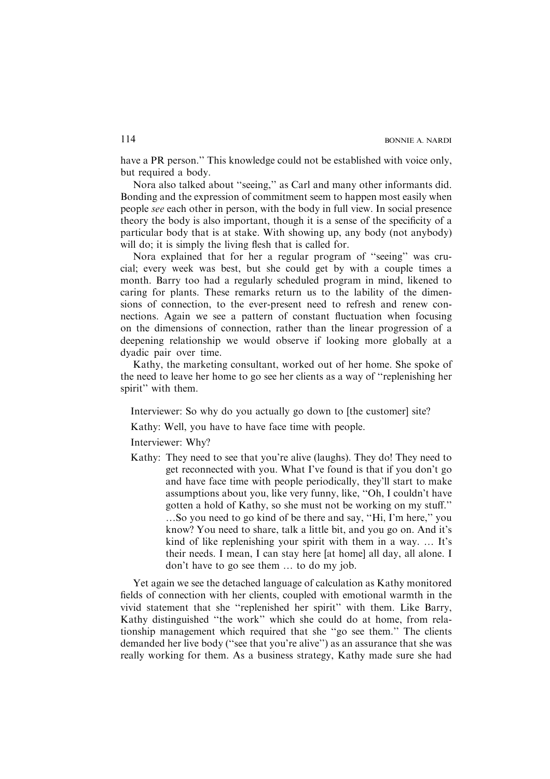have a PR person." This knowledge could not be established with voice only, but required a body.

Nora also talked about ''seeing,'' as Carl and many other informants did. Bonding and the expression of commitment seem to happen most easily when people see each other in person, with the body in full view. In social presence theory the body is also important, though it is a sense of the specificity of a particular body that is at stake. With showing up, any body (not anybody) will do; it is simply the living flesh that is called for.

Nora explained that for her a regular program of ''seeing'' was crucial; every week was best, but she could get by with a couple times a month. Barry too had a regularly scheduled program in mind, likened to caring for plants. These remarks return us to the lability of the dimensions of connection, to the ever-present need to refresh and renew connections. Again we see a pattern of constant fluctuation when focusing on the dimensions of connection, rather than the linear progression of a deepening relationship we would observe if looking more globally at a dyadic pair over time.

Kathy, the marketing consultant, worked out of her home. She spoke of the need to leave her home to go see her clients as a way of ''replenishing her spirit" with them.

Interviewer: So why do you actually go down to [the customer] site?

Kathy: Well, you have to have face time with people.

# Interviewer: Why?

Kathy: They need to see that you're alive (laughs). They do! They need to get reconnected with you. What I've found is that if you don't go and have face time with people periodically, they'll start to make assumptions about you, like very funny, like, ''Oh, I couldn't have gotten a hold of Kathy, so she must not be working on my stuff.'' …So you need to go kind of be there and say, ''Hi, I'm here,'' you know? You need to share, talk a little bit, and you go on. And it's kind of like replenishing your spirit with them in a way. … It's their needs. I mean, I can stay here [at home] all day, all alone. I don't have to go see them … to do my job.

Yet again we see the detached language of calculation as Kathy monitored fields of connection with her clients, coupled with emotional warmth in the vivid statement that she ''replenished her spirit'' with them. Like Barry, Kathy distinguished ''the work'' which she could do at home, from relationship management which required that she ''go see them.'' The clients demanded her live body (''see that you're alive'') as an assurance that she was really working for them. As a business strategy, Kathy made sure she had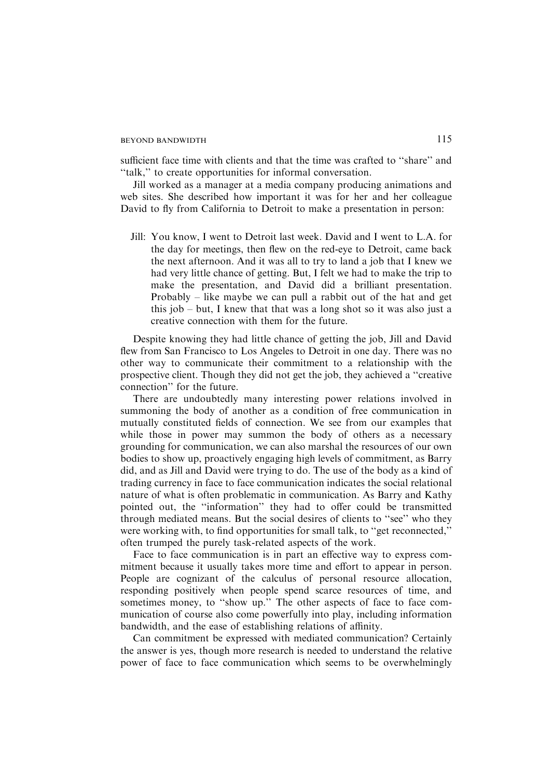sufficient face time with clients and that the time was crafted to ''share'' and ''talk,'' to create opportunities for informal conversation.

Jill worked as a manager at a media company producing animations and web sites. She described how important it was for her and her colleague David to fly from California to Detroit to make a presentation in person:

Jill: You know, I went to Detroit last week. David and I went to L.A. for the day for meetings, then flew on the red-eye to Detroit, came back the next afternoon. And it was all to try to land a job that I knew we had very little chance of getting. But, I felt we had to make the trip to make the presentation, and David did a brilliant presentation. Probably – like maybe we can pull a rabbit out of the hat and get this job – but, I knew that that was a long shot so it was also just a creative connection with them for the future.

Despite knowing they had little chance of getting the job, Jill and David flew from San Francisco to Los Angeles to Detroit in one day. There was no other way to communicate their commitment to a relationship with the prospective client. Though they did not get the job, they achieved a ''creative connection'' for the future.

There are undoubtedly many interesting power relations involved in summoning the body of another as a condition of free communication in mutually constituted fields of connection. We see from our examples that while those in power may summon the body of others as a necessary grounding for communication, we can also marshal the resources of our own bodies to show up, proactively engaging high levels of commitment, as Barry did, and as Jill and David were trying to do. The use of the body as a kind of trading currency in face to face communication indicates the social relational nature of what is often problematic in communication. As Barry and Kathy pointed out, the ''information'' they had to offer could be transmitted through mediated means. But the social desires of clients to ''see'' who they were working with, to find opportunities for small talk, to ''get reconnected,'' often trumped the purely task-related aspects of the work.

Face to face communication is in part an effective way to express commitment because it usually takes more time and effort to appear in person. People are cognizant of the calculus of personal resource allocation, responding positively when people spend scarce resources of time, and sometimes money, to ''show up.'' The other aspects of face to face communication of course also come powerfully into play, including information bandwidth, and the ease of establishing relations of affinity.

Can commitment be expressed with mediated communication? Certainly the answer is yes, though more research is needed to understand the relative power of face to face communication which seems to be overwhelmingly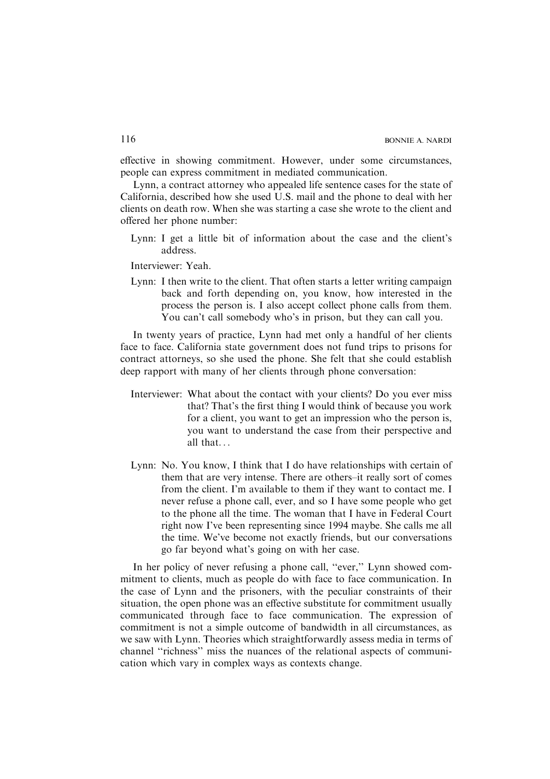effective in showing commitment. However, under some circumstances, people can express commitment in mediated communication.

Lynn, a contract attorney who appealed life sentence cases for the state of California, described how she used U.S. mail and the phone to deal with her clients on death row. When she was starting a case she wrote to the client and offered her phone number:

Lynn: I get a little bit of information about the case and the client's address.

Interviewer: Yeah.

Lynn: I then write to the client. That often starts a letter writing campaign back and forth depending on, you know, how interested in the process the person is. I also accept collect phone calls from them. You can't call somebody who's in prison, but they can call you.

In twenty years of practice, Lynn had met only a handful of her clients face to face. California state government does not fund trips to prisons for contract attorneys, so she used the phone. She felt that she could establish deep rapport with many of her clients through phone conversation:

- Interviewer: What about the contact with your clients? Do you ever miss that? That's the first thing I would think of because you work for a client, you want to get an impression who the person is, you want to understand the case from their perspective and all that...
- Lynn: No. You know, I think that I do have relationships with certain of them that are very intense. There are others–it really sort of comes from the client. I'm available to them if they want to contact me. I never refuse a phone call, ever, and so I have some people who get to the phone all the time. The woman that I have in Federal Court right now I've been representing since 1994 maybe. She calls me all the time. We've become not exactly friends, but our conversations go far beyond what's going on with her case.

In her policy of never refusing a phone call, ''ever,'' Lynn showed commitment to clients, much as people do with face to face communication. In the case of Lynn and the prisoners, with the peculiar constraints of their situation, the open phone was an effective substitute for commitment usually communicated through face to face communication. The expression of commitment is not a simple outcome of bandwidth in all circumstances, as we saw with Lynn. Theories which straightforwardly assess media in terms of channel ''richness'' miss the nuances of the relational aspects of communication which vary in complex ways as contexts change.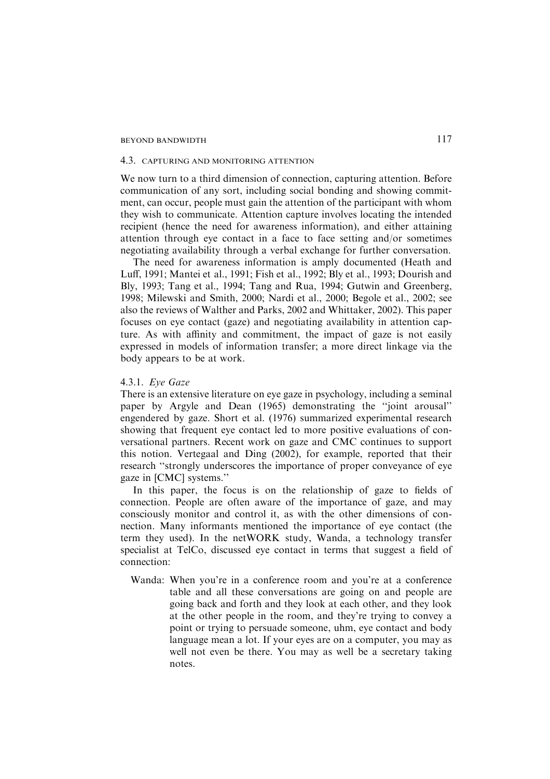#### 4.3. CAPTURING AND MONITORING ATTENTION

We now turn to a third dimension of connection, capturing attention. Before communication of any sort, including social bonding and showing commitment, can occur, people must gain the attention of the participant with whom they wish to communicate. Attention capture involves locating the intended recipient (hence the need for awareness information), and either attaining attention through eye contact in a face to face setting and/or sometimes negotiating availability through a verbal exchange for further conversation.

The need for awareness information is amply documented (Heath and Luff, 1991; Mantei et al., 1991; Fish et al., 1992; Bly et al., 1993; Dourish and Bly, 1993; Tang et al., 1994; Tang and Rua, 1994; Gutwin and Greenberg, 1998; Milewski and Smith, 2000; Nardi et al., 2000; Begole et al., 2002; see also the reviews of Walther and Parks, 2002 and Whittaker, 2002). This paper focuses on eye contact (gaze) and negotiating availability in attention capture. As with affinity and commitment, the impact of gaze is not easily expressed in models of information transfer; a more direct linkage via the body appears to be at work.

# 4.3.1. Eye Gaze

There is an extensive literature on eye gaze in psychology, including a seminal paper by Argyle and Dean (1965) demonstrating the ''joint arousal'' engendered by gaze. Short et al. (1976) summarized experimental research showing that frequent eye contact led to more positive evaluations of conversational partners. Recent work on gaze and CMC continues to support this notion. Vertegaal and Ding (2002), for example, reported that their research ''strongly underscores the importance of proper conveyance of eye gaze in [CMC] systems.''

In this paper, the focus is on the relationship of gaze to fields of connection. People are often aware of the importance of gaze, and may consciously monitor and control it, as with the other dimensions of connection. Many informants mentioned the importance of eye contact (the term they used). In the netWORK study, Wanda, a technology transfer specialist at TelCo, discussed eye contact in terms that suggest a field of connection:

Wanda: When you're in a conference room and you're at a conference table and all these conversations are going on and people are going back and forth and they look at each other, and they look at the other people in the room, and they're trying to convey a point or trying to persuade someone, uhm, eye contact and body language mean a lot. If your eyes are on a computer, you may as well not even be there. You may as well be a secretary taking notes.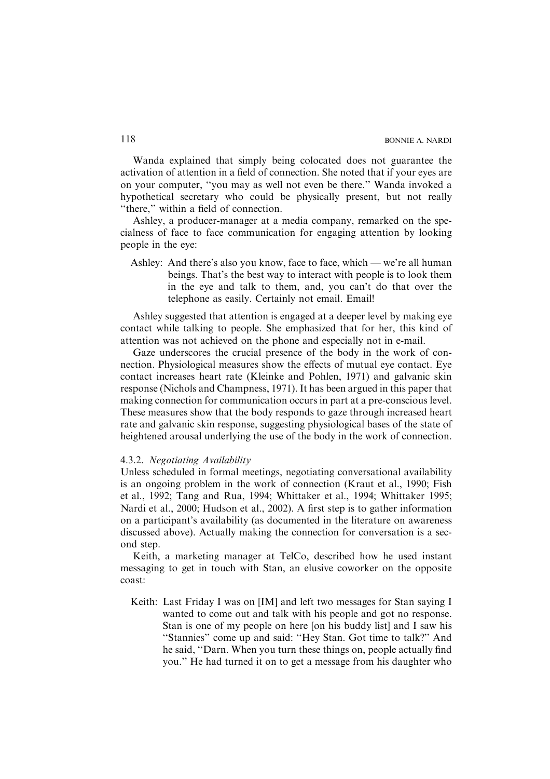Wanda explained that simply being colocated does not guarantee the activation of attention in a field of connection. She noted that if your eyes are on your computer, ''you may as well not even be there.'' Wanda invoked a hypothetical secretary who could be physically present, but not really ''there,'' within a field of connection.

Ashley, a producer-manager at a media company, remarked on the specialness of face to face communication for engaging attention by looking people in the eye:

Ashley: And there's also you know, face to face, which — we're all human beings. That's the best way to interact with people is to look them in the eye and talk to them, and, you can't do that over the telephone as easily. Certainly not email. Email!

Ashley suggested that attention is engaged at a deeper level by making eye contact while talking to people. She emphasized that for her, this kind of attention was not achieved on the phone and especially not in e-mail.

Gaze underscores the crucial presence of the body in the work of connection. Physiological measures show the effects of mutual eye contact. Eye contact increases heart rate (Kleinke and Pohlen, 1971) and galvanic skin response (Nichols and Champness, 1971). It has been argued in this paper that making connection for communication occurs in part at a pre-conscious level. These measures show that the body responds to gaze through increased heart rate and galvanic skin response, suggesting physiological bases of the state of heightened arousal underlying the use of the body in the work of connection.

# 4.3.2. Negotiating Availability

Unless scheduled in formal meetings, negotiating conversational availability is an ongoing problem in the work of connection (Kraut et al., 1990; Fish et al., 1992; Tang and Rua, 1994; Whittaker et al., 1994; Whittaker 1995; Nardi et al., 2000; Hudson et al., 2002). A first step is to gather information on a participant's availability (as documented in the literature on awareness discussed above). Actually making the connection for conversation is a second step.

Keith, a marketing manager at TelCo, described how he used instant messaging to get in touch with Stan, an elusive coworker on the opposite coast:

Keith: Last Friday I was on [IM] and left two messages for Stan saying I wanted to come out and talk with his people and got no response. Stan is one of my people on here [on his buddy list] and I saw his ''Stannies'' come up and said: ''Hey Stan. Got time to talk?'' And he said, ''Darn. When you turn these things on, people actually find you.'' He had turned it on to get a message from his daughter who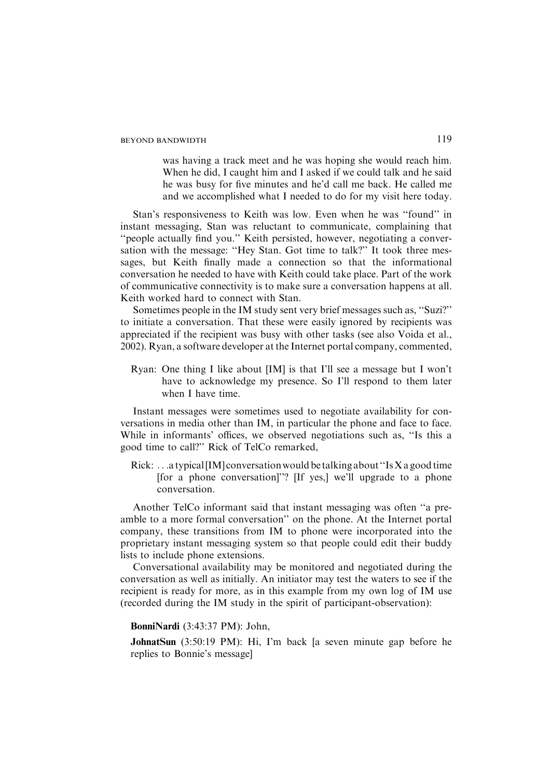was having a track meet and he was hoping she would reach him. When he did, I caught him and I asked if we could talk and he said he was busy for five minutes and he'd call me back. He called me and we accomplished what I needed to do for my visit here today.

Stan's responsiveness to Keith was low. Even when he was ''found'' in instant messaging, Stan was reluctant to communicate, complaining that ''people actually find you.'' Keith persisted, however, negotiating a conversation with the message: ''Hey Stan. Got time to talk?'' It took three messages, but Keith finally made a connection so that the informational conversation he needed to have with Keith could take place. Part of the work of communicative connectivity is to make sure a conversation happens at all. Keith worked hard to connect with Stan.

Sometimes people in the IM study sent very brief messages such as, ''Suzi?'' to initiate a conversation. That these were easily ignored by recipients was appreciated if the recipient was busy with other tasks (see also Voida et al., 2002). Ryan, a software developer at the Internet portal company, commented,

Ryan: One thing I like about [IM] is that I'll see a message but I won't have to acknowledge my presence. So I'll respond to them later when I have time.

Instant messages were sometimes used to negotiate availability for conversations in media other than IM, in particular the phone and face to face. While in informants' offices, we observed negotiations such as, ''Is this a good time to call?'' Rick of TelCo remarked,

Rick: ...a typical [IM] conversation would be talking about "Is X a good time [for a phone conversation]''? [If yes,] we'll upgrade to a phone conversation.

Another TelCo informant said that instant messaging was often ''a preamble to a more formal conversation'' on the phone. At the Internet portal company, these transitions from IM to phone were incorporated into the proprietary instant messaging system so that people could edit their buddy lists to include phone extensions.

Conversational availability may be monitored and negotiated during the conversation as well as initially. An initiator may test the waters to see if the recipient is ready for more, as in this example from my own log of IM use (recorded during the IM study in the spirit of participant-observation):

BonniNardi (3:43:37 PM): John,

JohnatSun (3:50:19 PM): Hi, I'm back [a seven minute gap before he replies to Bonnie's message]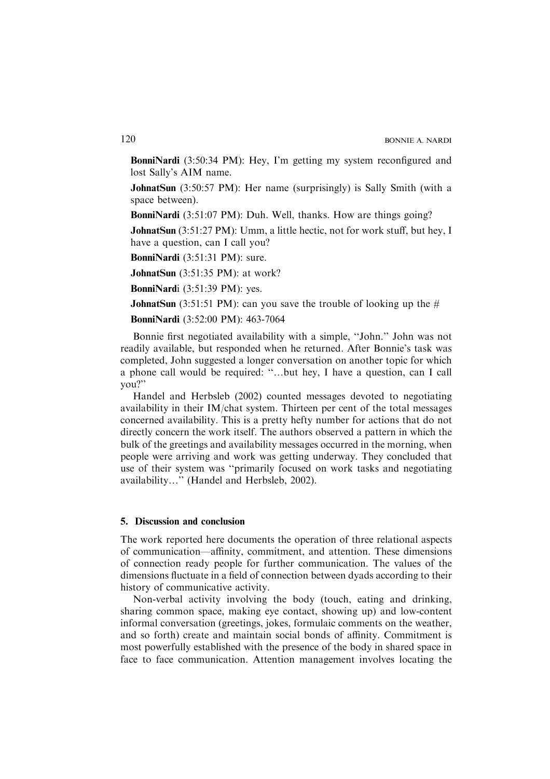BonniNardi (3:50:34 PM): Hey, I'm getting my system reconfigured and lost Sally's AIM name.

JohnatSun (3:50:57 PM): Her name (surprisingly) is Sally Smith (with a space between).

BonniNardi (3:51:07 PM): Duh. Well, thanks. How are things going?

JohnatSun (3:51:27 PM): Umm, a little hectic, not for work stuff, but hey, I have a question, can I call you?

BonniNardi (3:51:31 PM): sure.

JohnatSun (3:51:35 PM): at work?

BonniNardi (3:51:39 PM): yes.

**JohnatSun** (3:51:51 PM): can you save the trouble of looking up the  $\#$ 

BonniNardi (3:52:00 PM): 463-7064

Bonnie first negotiated availability with a simple, ''John.'' John was not readily available, but responded when he returned. After Bonnie's task was completed, John suggested a longer conversation on another topic for which a phone call would be required: ''…but hey, I have a question, can I call you?''

Handel and Herbsleb (2002) counted messages devoted to negotiating availability in their IM/chat system. Thirteen per cent of the total messages concerned availability. This is a pretty hefty number for actions that do not directly concern the work itself. The authors observed a pattern in which the bulk of the greetings and availability messages occurred in the morning, when people were arriving and work was getting underway. They concluded that use of their system was ''primarily focused on work tasks and negotiating availability…'' (Handel and Herbsleb, 2002).

# 5. Discussion and conclusion

The work reported here documents the operation of three relational aspects of communication—affinity, commitment, and attention. These dimensions of connection ready people for further communication. The values of the dimensions fluctuate in a field of connection between dyads according to their history of communicative activity.

Non-verbal activity involving the body (touch, eating and drinking, sharing common space, making eye contact, showing up) and low-content informal conversation (greetings, jokes, formulaic comments on the weather, and so forth) create and maintain social bonds of affinity. Commitment is most powerfully established with the presence of the body in shared space in face to face communication. Attention management involves locating the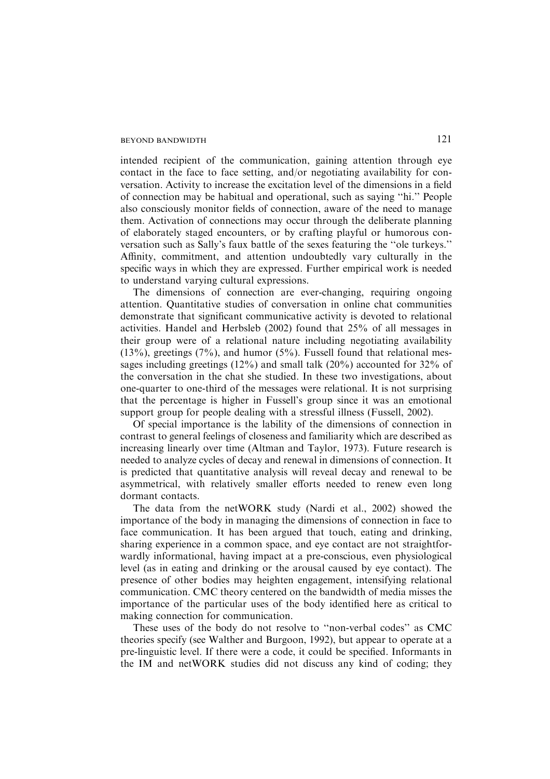intended recipient of the communication, gaining attention through eye contact in the face to face setting, and/or negotiating availability for conversation. Activity to increase the excitation level of the dimensions in a field of connection may be habitual and operational, such as saying ''hi.'' People also consciously monitor fields of connection, aware of the need to manage them. Activation of connections may occur through the deliberate planning of elaborately staged encounters, or by crafting playful or humorous conversation such as Sally's faux battle of the sexes featuring the ''ole turkeys.'' Affinity, commitment, and attention undoubtedly vary culturally in the specific ways in which they are expressed. Further empirical work is needed to understand varying cultural expressions.

The dimensions of connection are ever-changing, requiring ongoing attention. Quantitative studies of conversation in online chat communities demonstrate that significant communicative activity is devoted to relational activities. Handel and Herbsleb (2002) found that 25% of all messages in their group were of a relational nature including negotiating availability  $(13\%)$ , greetings  $(7\%)$ , and humor  $(5\%)$ . Fussell found that relational messages including greetings (12%) and small talk (20%) accounted for 32% of the conversation in the chat she studied. In these two investigations, about one-quarter to one-third of the messages were relational. It is not surprising that the percentage is higher in Fussell's group since it was an emotional support group for people dealing with a stressful illness (Fussell, 2002).

Of special importance is the lability of the dimensions of connection in contrast to general feelings of closeness and familiarity which are described as increasing linearly over time (Altman and Taylor, 1973). Future research is needed to analyze cycles of decay and renewal in dimensions of connection. It is predicted that quantitative analysis will reveal decay and renewal to be asymmetrical, with relatively smaller efforts needed to renew even long dormant contacts.

The data from the netWORK study (Nardi et al., 2002) showed the importance of the body in managing the dimensions of connection in face to face communication. It has been argued that touch, eating and drinking, sharing experience in a common space, and eye contact are not straightforwardly informational, having impact at a pre-conscious, even physiological level (as in eating and drinking or the arousal caused by eye contact). The presence of other bodies may heighten engagement, intensifying relational communication. CMC theory centered on the bandwidth of media misses the importance of the particular uses of the body identified here as critical to making connection for communication.

These uses of the body do not resolve to ''non-verbal codes'' as CMC theories specify (see Walther and Burgoon, 1992), but appear to operate at a pre-linguistic level. If there were a code, it could be specified. Informants in the IM and netWORK studies did not discuss any kind of coding; they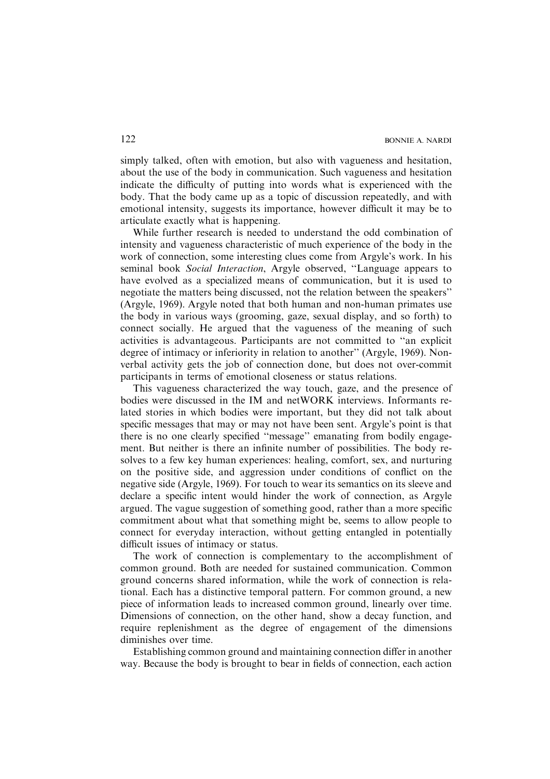simply talked, often with emotion, but also with vagueness and hesitation, about the use of the body in communication. Such vagueness and hesitation indicate the difficulty of putting into words what is experienced with the body. That the body came up as a topic of discussion repeatedly, and with emotional intensity, suggests its importance, however difficult it may be to articulate exactly what is happening.

While further research is needed to understand the odd combination of intensity and vagueness characteristic of much experience of the body in the work of connection, some interesting clues come from Argyle's work. In his seminal book Social Interaction, Argyle observed, ''Language appears to have evolved as a specialized means of communication, but it is used to negotiate the matters being discussed, not the relation between the speakers'' (Argyle, 1969). Argyle noted that both human and non-human primates use the body in various ways (grooming, gaze, sexual display, and so forth) to connect socially. He argued that the vagueness of the meaning of such activities is advantageous. Participants are not committed to ''an explicit degree of intimacy or inferiority in relation to another'' (Argyle, 1969). Nonverbal activity gets the job of connection done, but does not over-commit participants in terms of emotional closeness or status relations.

This vagueness characterized the way touch, gaze, and the presence of bodies were discussed in the IM and netWORK interviews. Informants related stories in which bodies were important, but they did not talk about specific messages that may or may not have been sent. Argyle's point is that there is no one clearly specified ''message'' emanating from bodily engagement. But neither is there an infinite number of possibilities. The body resolves to a few key human experiences: healing, comfort, sex, and nurturing on the positive side, and aggression under conditions of conflict on the negative side (Argyle, 1969). For touch to wear its semantics on its sleeve and declare a specific intent would hinder the work of connection, as Argyle argued. The vague suggestion of something good, rather than a more specific commitment about what that something might be, seems to allow people to connect for everyday interaction, without getting entangled in potentially difficult issues of intimacy or status.

The work of connection is complementary to the accomplishment of common ground. Both are needed for sustained communication. Common ground concerns shared information, while the work of connection is relational. Each has a distinctive temporal pattern. For common ground, a new piece of information leads to increased common ground, linearly over time. Dimensions of connection, on the other hand, show a decay function, and require replenishment as the degree of engagement of the dimensions diminishes over time.

Establishing common ground and maintaining connection differ in another way. Because the body is brought to bear in fields of connection, each action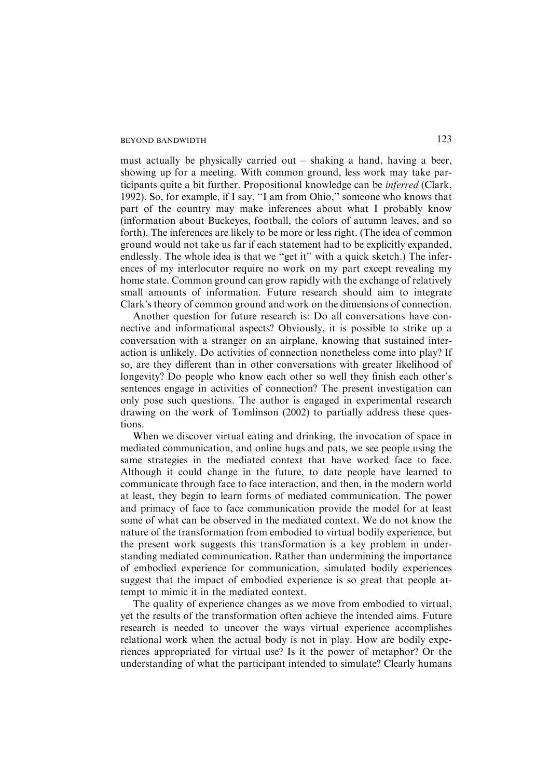must actually be physically carried out – shaking a hand, having a beer, showing up for a meeting. With common ground, less work may take participants quite a bit further. Propositional knowledge can be inferred (Clark, 1992). So, for example, if I say, ''I am from Ohio,'' someone who knows that part of the country may make inferences about what I probably know (information about Buckeyes, football, the colors of autumn leaves, and so forth). The inferences are likely to be more or less right. (The idea of common ground would not take us far if each statement had to be explicitly expanded, endlessly. The whole idea is that we ''get it'' with a quick sketch.) The inferences of my interlocutor require no work on my part except revealing my home state. Common ground can grow rapidly with the exchange of relatively small amounts of information. Future research should aim to integrate Clark's theory of common ground and work on the dimensions of connection.

Another question for future research is: Do all conversations have connective and informational aspects? Obviously, it is possible to strike up a conversation with a stranger on an airplane, knowing that sustained interaction is unlikely. Do activities of connection nonetheless come into play? If so, are they different than in other conversations with greater likelihood of longevity? Do people who know each other so well they finish each other's sentences engage in activities of connection? The present investigation can only pose such questions. The author is engaged in experimental research drawing on the work of Tomlinson (2002) to partially address these questions.

When we discover virtual eating and drinking, the invocation of space in mediated communication, and online hugs and pats, we see people using the same strategies in the mediated context that have worked face to face. Although it could change in the future, to date people have learned to communicate through face to face interaction, and then, in the modern world at least, they begin to learn forms of mediated communication. The power and primacy of face to face communication provide the model for at least some of what can be observed in the mediated context. We do not know the nature of the transformation from embodied to virtual bodily experience, but the present work suggests this transformation is a key problem in understanding mediated communication. Rather than undermining the importance of embodied experience for communication, simulated bodily experiences suggest that the impact of embodied experience is so great that people attempt to mimic it in the mediated context.

The quality of experience changes as we move from embodied to virtual, yet the results of the transformation often achieve the intended aims. Future research is needed to uncover the ways virtual experience accomplishes relational work when the actual body is not in play. How are bodily experiences appropriated for virtual use? Is it the power of metaphor? Or the understanding of what the participant intended to simulate? Clearly humans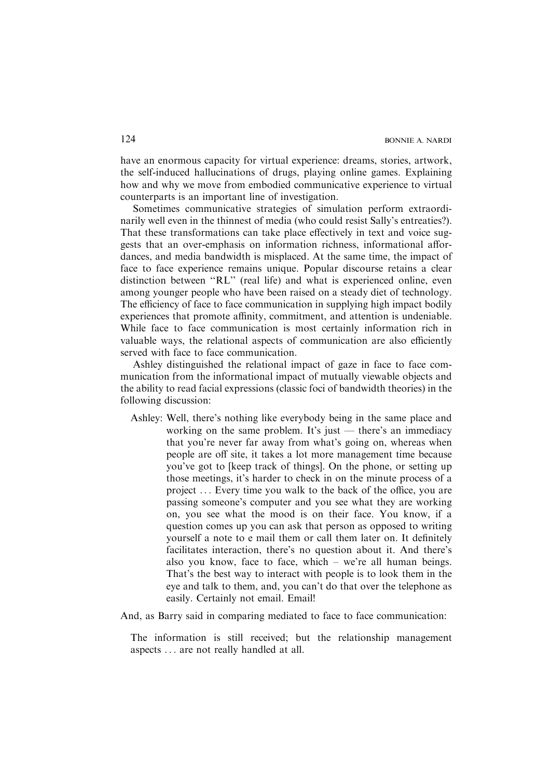have an enormous capacity for virtual experience: dreams, stories, artwork, the self-induced hallucinations of drugs, playing online games. Explaining how and why we move from embodied communicative experience to virtual counterparts is an important line of investigation.

Sometimes communicative strategies of simulation perform extraordinarily well even in the thinnest of media (who could resist Sally's entreaties?). That these transformations can take place effectively in text and voice suggests that an over-emphasis on information richness, informational affordances, and media bandwidth is misplaced. At the same time, the impact of face to face experience remains unique. Popular discourse retains a clear distinction between ''RL'' (real life) and what is experienced online, even among younger people who have been raised on a steady diet of technology. The efficiency of face to face communication in supplying high impact bodily experiences that promote affinity, commitment, and attention is undeniable. While face to face communication is most certainly information rich in valuable ways, the relational aspects of communication are also efficiently served with face to face communication.

Ashley distinguished the relational impact of gaze in face to face communication from the informational impact of mutually viewable objects and the ability to read facial expressions (classic foci of bandwidth theories) in the following discussion:

Ashley: Well, there's nothing like everybody being in the same place and working on the same problem. It's just — there's an immediacy that you're never far away from what's going on, whereas when people are off site, it takes a lot more management time because you've got to [keep track of things]. On the phone, or setting up those meetings, it's harder to check in on the minute process of a project ... Every time you walk to the back of the office, you are passing someone's computer and you see what they are working on, you see what the mood is on their face. You know, if a question comes up you can ask that person as opposed to writing yourself a note to e mail them or call them later on. It definitely facilitates interaction, there's no question about it. And there's also you know, face to face, which – we're all human beings. That's the best way to interact with people is to look them in the eye and talk to them, and, you can't do that over the telephone as easily. Certainly not email. Email!

And, as Barry said in comparing mediated to face to face communication:

The information is still received; but the relationship management aspects ... are not really handled at all.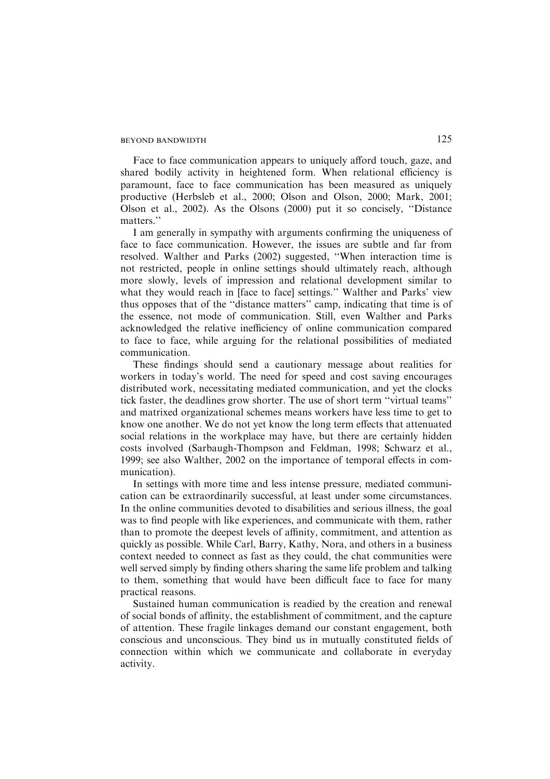Face to face communication appears to uniquely afford touch, gaze, and shared bodily activity in heightened form. When relational efficiency is paramount, face to face communication has been measured as uniquely productive (Herbsleb et al., 2000; Olson and Olson, 2000; Mark, 2001; Olson et al., 2002). As the Olsons (2000) put it so concisely, ''Distance matters.''

I am generally in sympathy with arguments confirming the uniqueness of face to face communication. However, the issues are subtle and far from resolved. Walther and Parks (2002) suggested, ''When interaction time is not restricted, people in online settings should ultimately reach, although more slowly, levels of impression and relational development similar to what they would reach in [face to face] settings.'' Walther and Parks' view thus opposes that of the ''distance matters'' camp, indicating that time is of the essence, not mode of communication. Still, even Walther and Parks acknowledged the relative inefficiency of online communication compared to face to face, while arguing for the relational possibilities of mediated communication.

These findings should send a cautionary message about realities for workers in today's world. The need for speed and cost saving encourages distributed work, necessitating mediated communication, and yet the clocks tick faster, the deadlines grow shorter. The use of short term ''virtual teams'' and matrixed organizational schemes means workers have less time to get to know one another. We do not yet know the long term effects that attenuated social relations in the workplace may have, but there are certainly hidden costs involved (Sarbaugh-Thompson and Feldman, 1998; Schwarz et al., 1999; see also Walther, 2002 on the importance of temporal effects in communication).

In settings with more time and less intense pressure, mediated communication can be extraordinarily successful, at least under some circumstances. In the online communities devoted to disabilities and serious illness, the goal was to find people with like experiences, and communicate with them, rather than to promote the deepest levels of affinity, commitment, and attention as quickly as possible. While Carl, Barry, Kathy, Nora, and others in a business context needed to connect as fast as they could, the chat communities were well served simply by finding others sharing the same life problem and talking to them, something that would have been difficult face to face for many practical reasons.

Sustained human communication is readied by the creation and renewal of social bonds of affinity, the establishment of commitment, and the capture of attention. These fragile linkages demand our constant engagement, both conscious and unconscious. They bind us in mutually constituted fields of connection within which we communicate and collaborate in everyday activity.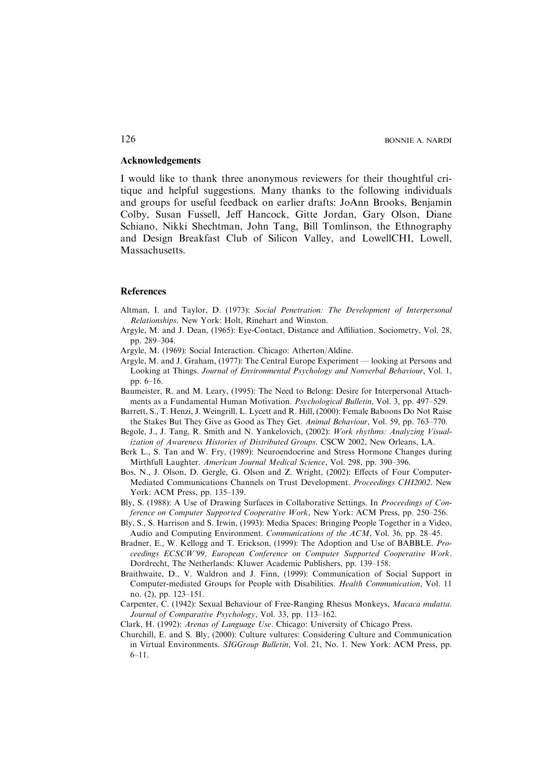#### Acknowledgements

I would like to thank three anonymous reviewers for their thoughtful critique and helpful suggestions. Many thanks to the following individuals and groups for useful feedback on earlier drafts: JoAnn Brooks, Benjamin Colby, Susan Fussell, Jeff Hancock, Gitte Jordan, Gary Olson, Diane Schiano, Nikki Shechtman, John Tang, Bill Tomlinson, the Ethnography and Design Breakfast Club of Silicon Valley, and LowellCHI, Lowell, Massachusetts.

# **References**

- Altman, I. and Taylor, D. (1973): Social Penetration: The Development of Interpersonal Relationships. New York: Holt, Rinehart and Winston.
- Argyle, M. and J. Dean, (1965): Eye-Contact, Distance and Affiliation. Sociometry, Vol. 28, pp. 289–304.
- Argyle, M. (1969): Social Interaction. Chicago: Atherton/Aldine.
- Argyle, M. and J. Graham, (1977): The Central Europe Experiment looking at Persons and Looking at Things. Journal of Environmental Psychology and Nonverbal Behaviour, Vol. 1, pp. 6–16.
- Baumeister, R. and M. Leary, (1995): The Need to Belong: Desire for Interpersonal Attachments as a Fundamental Human Motivation. Psychological Bulletin, Vol. 3, pp. 497–529.
- Barrett, S., T. Henzi, J. Weingrill, L. Lycett and R. Hill, (2000): Female Baboons Do Not Raise the Stakes But They Give as Good as They Get. Animal Behaviour, Vol. 59, pp. 763–770.
- Begole, J., J. Tang, R. Smith and N. Yankelovich, (2002): Work rhythms: Analyzing Visualization of Awareness Histories of Distributed Groups. CSCW 2002, New Orleans, LA.
- Berk L., S. Tan and W. Fry, (1989): Neuroendocrine and Stress Hormone Changes during Mirthfull Laughter. American Journal Medical Science, Vol. 298, pp. 390–396.
- Bos, N., J. Olson, D. Gergle, G. Olson and Z. Wright, (2002): Effects of Four Computer-Mediated Communications Channels on Trust Development. Proceedings CHI2002. New York: ACM Press, pp. 135–139.
- Bly, S. (1988): A Use of Drawing Surfaces in Collaborative Settings. In *Proceedings of Con*ference on Computer Supported Cooperative Work, New York: ACM Press, pp. 250–256.
- Bly, S., S. Harrison and S. Irwin, (1993): Media Spaces: Bringing People Together in a Video, Audio and Computing Environment. Communications of the ACM, Vol. 36, pp. 28–45.
- Bradner, E., W. Kellogg and T. Erickson, (1999): The Adoption and Use of BABBLE. Proceedings ECSCW'99, European Conference on Computer Supported Cooperative Work. Dordrecht, The Netherlands: Kluwer Academic Publishers, pp. 139–158.
- Braithwaite, D., V. Waldron and J. Finn, (1999): Communication of Social Support in Computer-mediated Groups for People with Disabilities. Health Communication, Vol. 11 no. (2), pp. 123–151.
- Carpenter, C. (1942): Sexual Behaviour of Free-Ranging Rhesus Monkeys, Macaca mulatta. Journal of Comparative Psychology, Vol. 33, pp. 113–162.
- Clark, H. (1992): Arenas of Language Use. Chicago: University of Chicago Press.
- Churchill, E. and S. Bly, (2000): Culture vultures: Considering Culture and Communication in Virtual Environments. SIGGroup Bulletin, Vol. 21, No. 1. New York: ACM Press, pp. 6–11.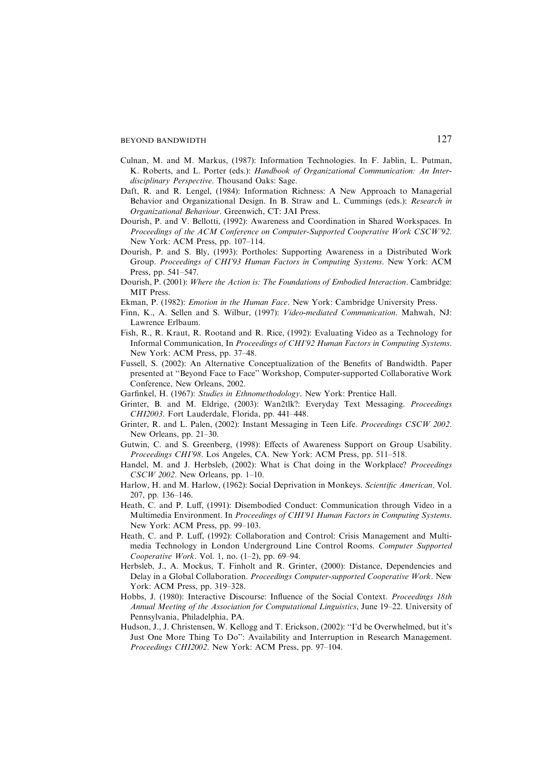- Culnan, M. and M. Markus, (1987): Information Technologies. In F. Jablin, L. Putman, K. Roberts, and L. Porter (eds.): Handbook of Organizational Communication: An Interdisciplinary Perspective. Thousand Oaks: Sage.
- Daft, R. and R. Lengel, (1984): Information Richness: A New Approach to Managerial Behavior and Organizational Design. In B. Straw and L. Cummings (eds.): Research in Organizational Behaviour. Greenwich, CT: JAI Press.
- Dourish, P. and V. Bellotti, (1992): Awareness and Coordination in Shared Workspaces. In Proceedings of the ACM Conference on Computer-Supported Cooperative Work CSCW'92. New York: ACM Press, pp. 107–114.
- Dourish, P. and S. Bly, (1993): Portholes: Supporting Awareness in a Distributed Work Group. Proceedings of CHI'93 Human Factors in Computing Systems. New York: ACM Press, pp. 541–547.
- Dourish, P. (2001): Where the Action is: The Foundations of Embodied Interaction. Cambridge: MIT Press.
- Ekman, P. (1982): Emotion in the Human Face. New York: Cambridge University Press.
- Finn, K., A. Sellen and S. Wilbur, (1997): Video-mediated Communication. Mahwah, NJ: Lawrence Erlbaum.
- Fish, R., R. Kraut, R. Rootand and R. Rice, (1992): Evaluating Video as a Technology for Informal Communication, In Proceedings of CHI'92 Human Factors in Computing Systems. New York: ACM Press, pp. 37–48.
- Fussell, S. (2002): An Alternative Conceptualization of the Benefits of Bandwidth. Paper presented at ''Beyond Face to Face'' Workshop, Computer-supported Collaborative Work Conference, New Orleans, 2002.
- Garfinkel, H. (1967): Studies in Ethnomethodology. New York: Prentice Hall.
- Grinter, B. and M. Eldrige, (2003): Wan2tlk?: Everyday Text Messaging. Proceedings CHI2003. Fort Lauderdale, Florida, pp. 441–448.
- Grinter, R. and L. Palen, (2002): Instant Messaging in Teen Life. Proceedings CSCW 2002. New Orleans, pp. 21–30.
- Gutwin, C. and S. Greenberg, (1998): Effects of Awareness Support on Group Usability. Proceedings CHI'98. Los Angeles, CA. New York: ACM Press, pp. 511–518.
- Handel, M. and J. Herbsleb, (2002): What is Chat doing in the Workplace? Proceedings  $CSCW 2002$ . New Orleans, pp. 1–10.
- Harlow, H. and M. Harlow, (1962): Social Deprivation in Monkeys. Scientific American, Vol. 207, pp. 136–146.
- Heath, C. and P. Luff, (1991): Disembodied Conduct: Communication through Video in a Multimedia Environment. In Proceedings of CHI'91 Human Factors in Computing Systems. New York: ACM Press, pp. 99–103.
- Heath, C. and P. Luff, (1992): Collaboration and Control: Crisis Management and Multimedia Technology in London Underground Line Control Rooms. Computer Supported Cooperative Work. Vol. 1, no. (1–2), pp. 69–94.
- Herbsleb, J., A. Mockus, T. Finholt and R. Grinter, (2000): Distance, Dependencies and Delay in a Global Collaboration. Proceedings Computer-supported Cooperative Work. New York: ACM Press, pp. 319–328.
- Hobbs, J. (1980): Interactive Discourse: Influence of the Social Context. Proceedings 18th Annual Meeting of the Association for Computational Linguistics, June 19–22. University of Pennsylvania, Philadelphia, PA.
- Hudson, J., J. Christensen, W. Kellogg and T. Erickson, (2002): ''I'd be Overwhelmed, but it's Just One More Thing To Do'': Availability and Interruption in Research Management. Proceedings CHI2002. New York: ACM Press, pp. 97–104.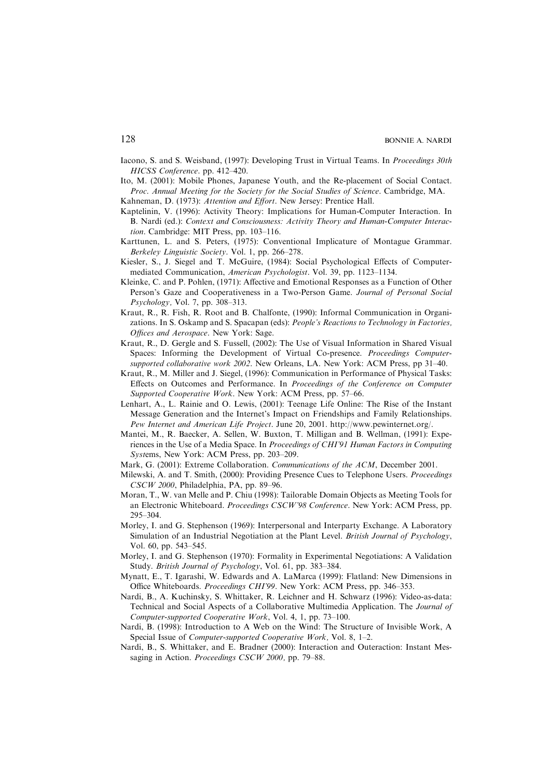Iacono, S. and S. Weisband, (1997): Developing Trust in Virtual Teams. In Proceedings 30th HICSS Conference. pp. 412–420.

- Ito, M. (2001): Mobile Phones, Japanese Youth, and the Re-placement of Social Contact. Proc. Annual Meeting for the Society for the Social Studies of Science. Cambridge, MA.
- Kahneman, D. (1973): Attention and Effort. New Jersey: Prentice Hall.
- Kaptelinin, V. (1996): Activity Theory: Implications for Human-Computer Interaction. In B. Nardi (ed.): Context and Consciousness: Activity Theory and Human-Computer Interaction. Cambridge: MIT Press, pp. 103–116.
- Karttunen, L. and S. Peters, (1975): Conventional Implicature of Montague Grammar. Berkeley Linguistic Society. Vol. 1, pp. 266–278.
- Kiesler, S., J. Siegel and T. McGuire, (1984): Social Psychological Effects of Computermediated Communication, American Psychologist. Vol. 39, pp. 1123–1134.
- Kleinke, C. and P. Pohlen, (1971): Affective and Emotional Responses as a Function of Other Person's Gaze and Cooperativeness in a Two-Person Game. Journal of Personal Social Psychology, Vol. 7, pp. 308–313.
- Kraut, R., R. Fish, R. Root and B. Chalfonte, (1990): Informal Communication in Organizations. In S. Oskamp and S. Spacapan (eds): People's Reactions to Technology in Factories, Offices and Aerospace. New York: Sage.
- Kraut, R., D. Gergle and S. Fussell, (2002): The Use of Visual Information in Shared Visual Spaces: Informing the Development of Virtual Co-presence. Proceedings Computersupported collaborative work 2002. New Orleans, LA. New York: ACM Press, pp 31–40.
- Kraut, R., M. Miller and J. Siegel, (1996): Communication in Performance of Physical Tasks: Effects on Outcomes and Performance. In Proceedings of the Conference on Computer Supported Cooperative Work. New York: ACM Press, pp. 57–66.
- Lenhart, A., L. Rainie and O. Lewis, (2001): Teenage Life Online: The Rise of the Instant Message Generation and the Internet's Impact on Friendships and Family Relationships. Pew Internet and American Life Project. June 20, 2001. http://www.pewinternet.org/.
- Mantei, M., R. Baecker, A. Sellen, W. Buxton, T. Milligan and B. Wellman, (1991): Experiences in the Use of a Media Space. In Proceedings of CHI'91 Human Factors in Computing Systems, New York: ACM Press, pp. 203–209.
- Mark, G. (2001): Extreme Collaboration. Communications of the ACM, December 2001.
- Milewski, A. and T. Smith, (2000): Providing Presence Cues to Telephone Users. *Proceedings* CSCW 2000, Philadelphia, PA, pp. 89–96.
- Moran, T., W. van Melle and P. Chiu (1998): Tailorable Domain Objects as Meeting Tools for an Electronic Whiteboard. Proceedings CSCW'98 Conference. New York: ACM Press, pp. 295–304.
- Morley, I. and G. Stephenson (1969): Interpersonal and Interparty Exchange. A Laboratory Simulation of an Industrial Negotiation at the Plant Level. British Journal of Psychology, Vol. 60, pp. 543–545.
- Morley, I. and G. Stephenson (1970): Formality in Experimental Negotiations: A Validation Study. British Journal of Psychology, Vol. 61, pp. 383–384.
- Mynatt, E., T. Igarashi, W. Edwards and A. LaMarca (1999): Flatland: New Dimensions in Office Whiteboards. Proceedings CHI'99. New York: ACM Press, pp. 346–353.
- Nardi, B., A. Kuchinsky, S. Whittaker, R. Leichner and H. Schwarz (1996): Video-as-data: Technical and Social Aspects of a Collaborative Multimedia Application. The Journal of Computer-supported Cooperative Work, Vol. 4, 1, pp. 73–100.
- Nardi, B. (1998): Introduction to A Web on the Wind: The Structure of Invisible Work, A Special Issue of Computer-supported Cooperative Work, Vol. 8, 1–2.
- Nardi, B., S. Whittaker, and E. Bradner (2000): Interaction and Outeraction: Instant Messaging in Action. Proceedings CSCW 2000, pp. 79–88.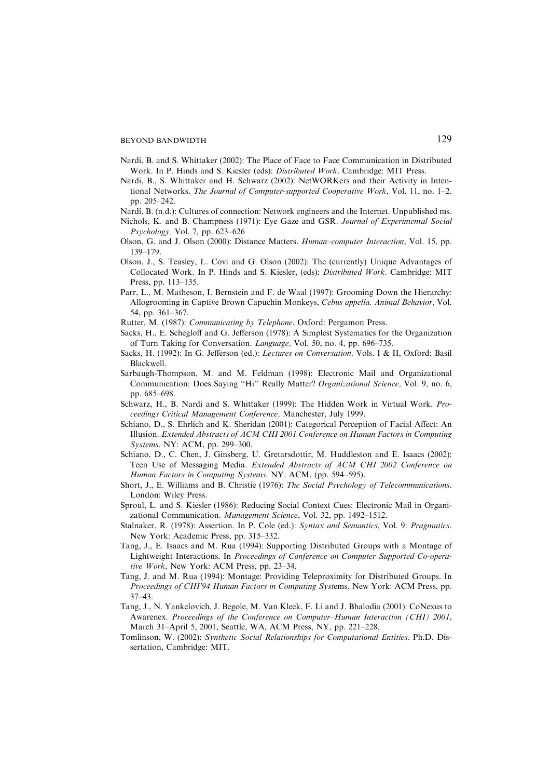- Nardi, B. and S. Whittaker (2002): The Place of Face to Face Communication in Distributed Work. In P. Hinds and S. Kiesler (eds): Distributed Work. Cambridge: MIT Press.
- Nardi, B., S. Whittaker and H. Schwarz (2002): NetWORKers and their Activity in Intentional Networks. The Journal of Computer-supported Cooperative Work, Vol. 11, no. 1–2. pp. 205–242.
- Nardi, B. (n.d.): Cultures of connection: Network engineers and the Internet. Unpublished ms.
- Nichols, K. and B. Champness (1971): Eye Gaze and GSR. Journal of Experimental Social Psychology, Vol. 7, pp. 623–626
- Olson, G. and J. Olson (2000): Distance Matters. Human–computer Interaction, Vol. 15, pp. 139–179.
- Olson, J., S. Teasley, L. Covi and G. Olson (2002): The (currently) Unique Advantages of Collocated Work. In P. Hinds and S. Kiesler, (eds): Distributed Work. Cambridge: MIT Press, pp. 113–135.
- Parr, L., M. Matheson, I. Bernstein and F. de Waal (1997): Grooming Down the Hierarchy: Allogrooming in Captive Brown Capuchin Monkeys, Cebus appella. Animal Behavior, Vol. 54, pp. 361–367.
- Rutter, M. (1987): Communicating by Telephone. Oxford: Pergamon Press.
- Sacks, H., E. Schegloff and G. Jefferson (1978): A Simplest Systematics for the Organization of Turn Taking for Conversation. Language, Vol. 50, no. 4, pp. 696–735.
- Sacks, H. (1992): In G. Jefferson (ed.): Lectures on Conversation. Vols. I & II, Oxford: Basil Blackwell.
- Sarbaugh-Thompson, M. and M. Feldman (1998): Electronic Mail and Organizational Communication: Does Saying ''Hi'' Really Matter? Organizational Science, Vol. 9, no. 6, pp. 685–698.
- Schwarz, H., B. Nardi and S. Whittaker (1999): The Hidden Work in Virtual Work. Proceedings Critical Management Conference, Manchester, July 1999.
- Schiano, D., S. Ehrlich and K. Sheridan (2001): Categorical Perception of Facial Affect: An Illusion. Extended Abstracts of ACM CHI 2001 Conference on Human Factors in Computing Systems. NY: ACM, pp. 299–300.
- Schiano, D., C. Chen, J. Ginsberg, U. Gretarsdottir, M. Huddleston and E. Isaacs (2002): Teen Use of Messaging Media. Extended Abstracts of ACM CHI 2002 Conference on Human Factors in Computing Systems. NY: ACM, (pp. 594–595).
- Short, J., E. Williams and B. Christie (1976): The Social Psychology of Telecommunications. London: Wiley Press.
- Sproul, L. and S. Kiesler (1986): Reducing Social Context Cues: Electronic Mail in Organizational Communication. Management Science, Vol. 32, pp. 1492–1512.
- Stalnaker, R. (1978): Assertion. In P. Cole (ed.): Syntax and Semantics, Vol. 9: Pragmatics. New York: Academic Press, pp. 315–332.
- Tang, J., E. Isaacs and M. Rua (1994): Supporting Distributed Groups with a Montage of Lightweight Interactions. In Proceedings of Conference on Computer Supported Co-operative Work, New York: ACM Press, pp. 23–34.
- Tang, J. and M. Rua (1994): Montage: Providing Teleproximity for Distributed Groups. In Proceedings of CHI'94 Human Factors in Computing Systems. New York: ACM Press, pp. 37–43.
- Tang, J., N. Yankelovich, J. Begole, M. Van Kleek, F. Li and J. Bhalodia (2001): CoNexus to Awarenex. Proceedings of the Conference on Computer–Human Interaction (CHI) 2001, March 31–April 5, 2001, Seattle, WA, ACM Press, NY, pp. 221–228.
- Tomlinson, W. (2002): Synthetic Social Relationships for Computational Entities. Ph.D. Dissertation, Cambridge: MIT.